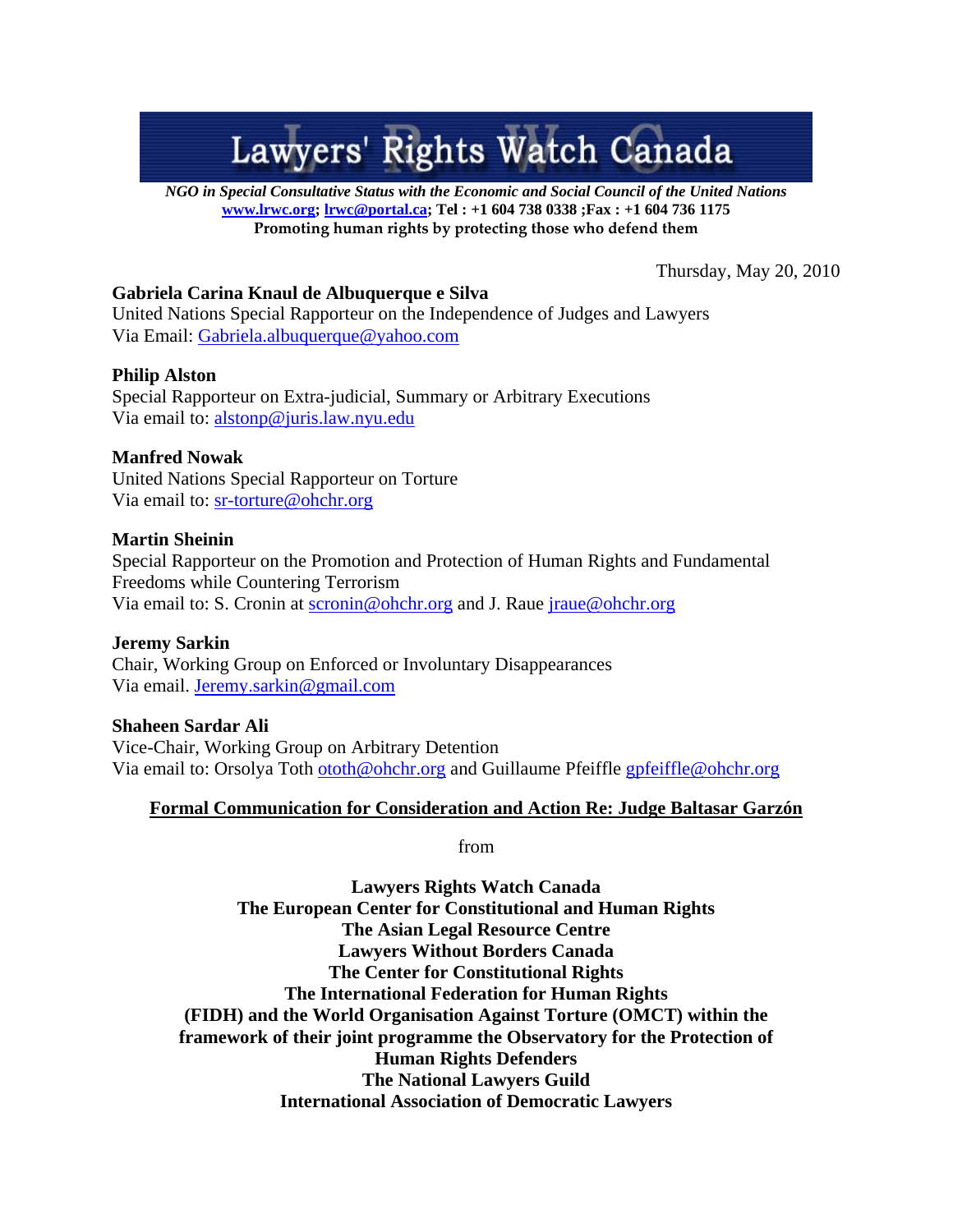# Lawyers' Rights Watch Canada

*NGO in Special Consultative Status with the Economic and Social Council of the United Nations*  **www.lrwc.org; lrwc@portal.ca; Tel : +1 604 738 0338 ;Fax : +1 604 736 1175 Promoting human rights by protecting those who defend them** 

Thursday, May 20, 2010

# **Gabriela Carina Knaul de Albuquerque e Silva**

United Nations Special Rapporteur on the Independence of Judges and Lawyers Via Email: Gabriela.albuquerque@yahoo.com

# **Philip Alston**

Special Rapporteur on Extra-judicial, Summary or Arbitrary Executions Via email to: alstonp@juris.law.nyu.edu

# **Manfred Nowak**

United Nations Special Rapporteur on Torture Via email to: sr-torture@ohchr.org

# **Martin Sheinin**

Special Rapporteur on the Promotion and Protection of Human Rights and Fundamental Freedoms while Countering Terrorism Via email to: S. Cronin at scronin@ohchr.org and J. Raue jraue@ohchr.org

# **Jeremy Sarkin**

Chair, Working Group on Enforced or Involuntary Disappearances Via email. Jeremy.sarkin@gmail.com

**Shaheen Sardar Ali**  Vice-Chair, Working Group on Arbitrary Detention Via email to: Orsolya Toth ototh@ohchr.org and Guillaume Pfeiffle gpfeiffle@ohchr.org

# **Formal Communication for Consideration and Action Re: Judge Baltasar Garzón**

from

**Lawyers Rights Watch Canada The European Center for Constitutional and Human Rights The Asian Legal Resource Centre Lawyers Without Borders Canada The Center for Constitutional Rights The International Federation for Human Rights (FIDH) and the World Organisation Against Torture (OMCT) within the framework of their joint programme the Observatory for the Protection of Human Rights Defenders The National Lawyers Guild International Association of Democratic Lawyers**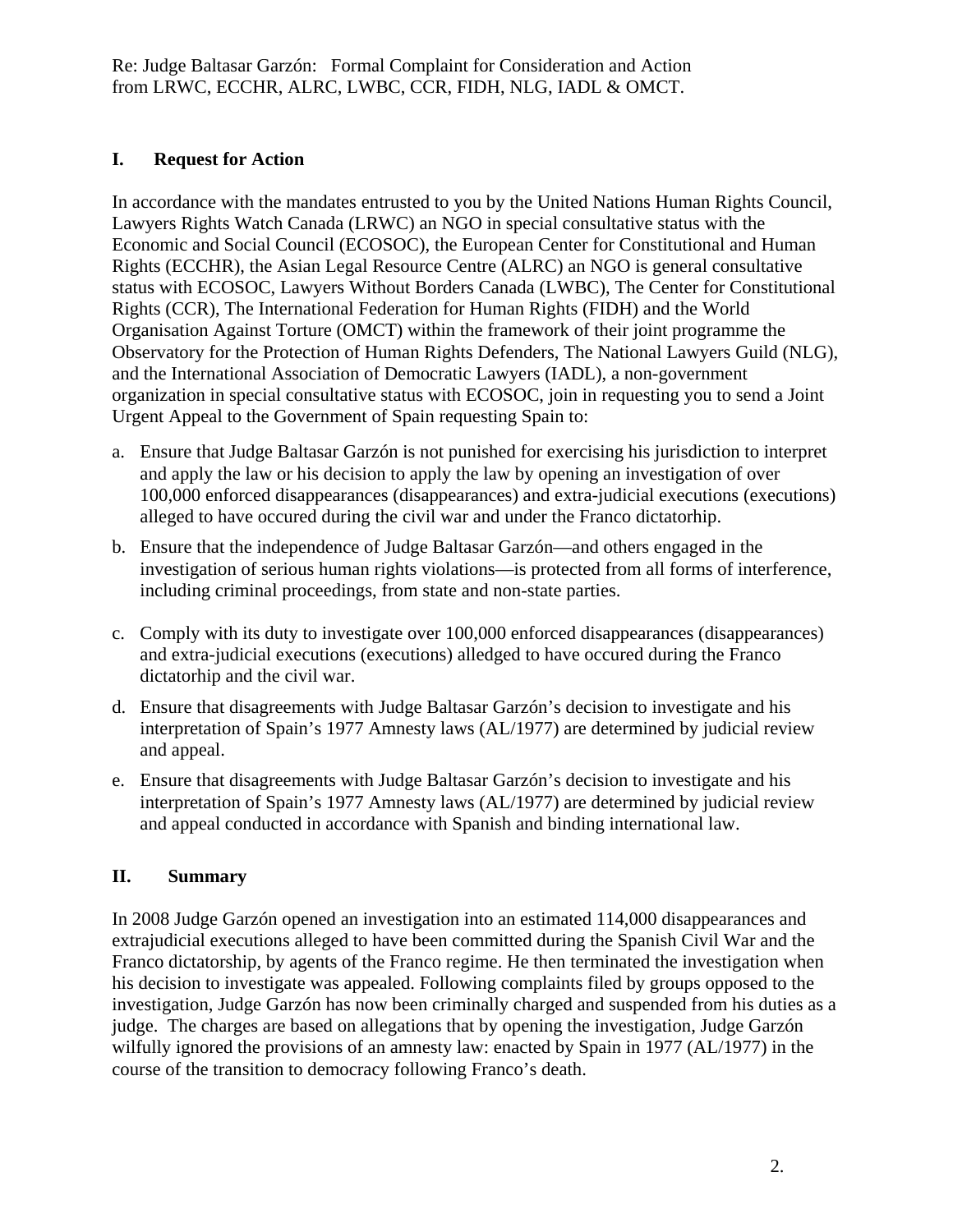# **I. Request for Action**

In accordance with the mandates entrusted to you by the United Nations Human Rights Council, Lawyers Rights Watch Canada (LRWC) an NGO in special consultative status with the Economic and Social Council (ECOSOC), the European Center for Constitutional and Human Rights (ECCHR), the Asian Legal Resource Centre (ALRC) an NGO is general consultative status with ECOSOC, Lawyers Without Borders Canada (LWBC), The Center for Constitutional Rights (CCR), The International Federation for Human Rights (FIDH) and the World Organisation Against Torture (OMCT) within the framework of their joint programme the Observatory for the Protection of Human Rights Defenders, The National Lawyers Guild (NLG), and the International Association of Democratic Lawyers (IADL), a non-government organization in special consultative status with ECOSOC, join in requesting you to send a Joint Urgent Appeal to the Government of Spain requesting Spain to:

- a. Ensure that Judge Baltasar Garzón is not punished for exercising his jurisdiction to interpret and apply the law or his decision to apply the law by opening an investigation of over 100,000 enforced disappearances (disappearances) and extra-judicial executions (executions) alleged to have occured during the civil war and under the Franco dictatorhip.
- b. Ensure that the independence of Judge Baltasar Garzón—and others engaged in the investigation of serious human rights violations—is protected from all forms of interference, including criminal proceedings, from state and non-state parties.
- c. Comply with its duty to investigate over 100,000 enforced disappearances (disappearances) and extra-judicial executions (executions) alledged to have occured during the Franco dictatorhip and the civil war.
- d. Ensure that disagreements with Judge Baltasar Garzón's decision to investigate and his interpretation of Spain's 1977 Amnesty laws (AL/1977) are determined by judicial review and appeal.
- e. Ensure that disagreements with Judge Baltasar Garzón's decision to investigate and his interpretation of Spain's 1977 Amnesty laws (AL/1977) are determined by judicial review and appeal conducted in accordance with Spanish and binding international law.

# **II. Summary**

In 2008 Judge Garzón opened an investigation into an estimated 114,000 disappearances and extrajudicial executions alleged to have been committed during the Spanish Civil War and the Franco dictatorship, by agents of the Franco regime. He then terminated the investigation when his decision to investigate was appealed. Following complaints filed by groups opposed to the investigation, Judge Garzón has now been criminally charged and suspended from his duties as a judge. The charges are based on allegations that by opening the investigation, Judge Garzón wilfully ignored the provisions of an amnesty law: enacted by Spain in 1977 (AL/1977) in the course of the transition to democracy following Franco's death.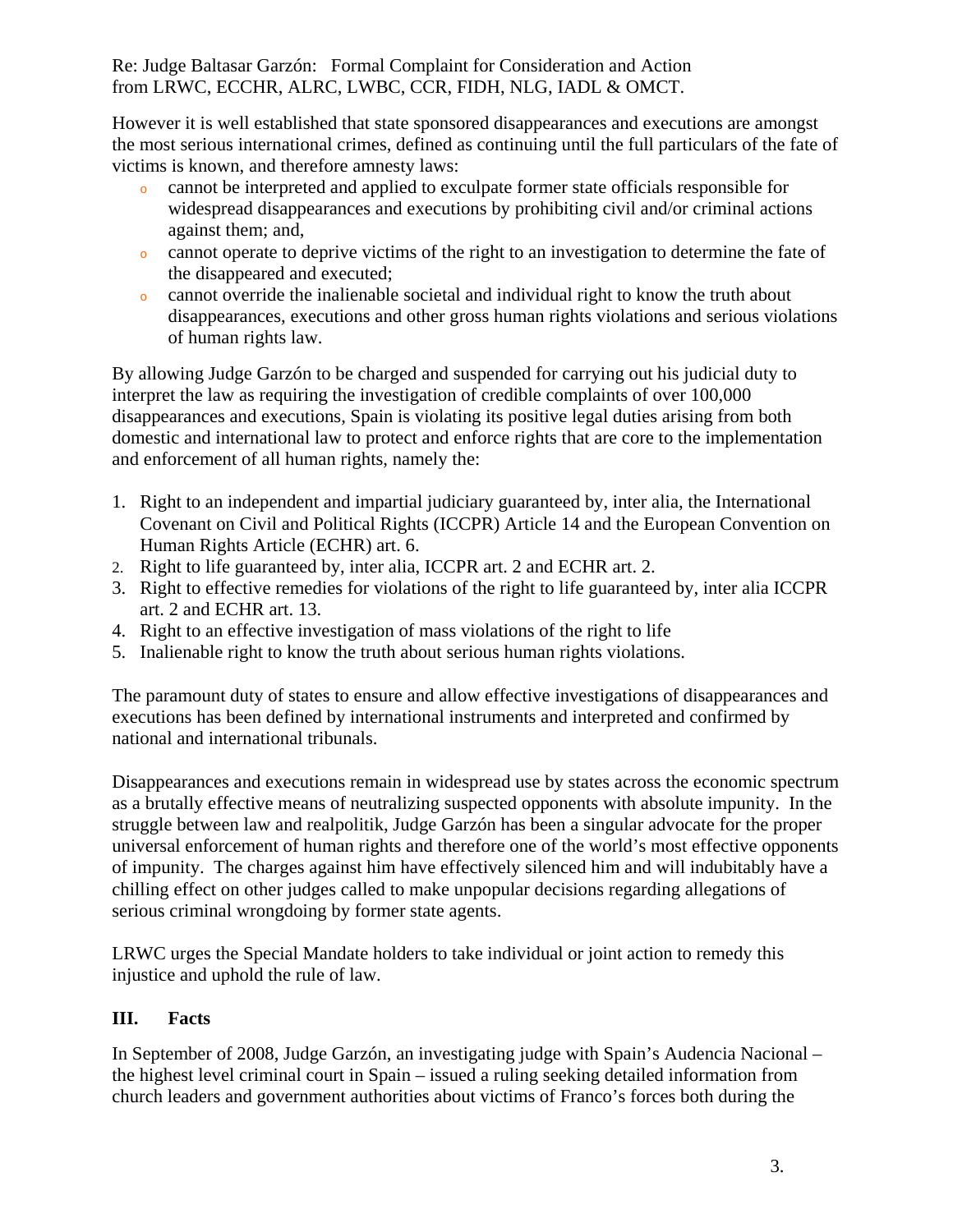However it is well established that state sponsored disappearances and executions are amongst the most serious international crimes, defined as continuing until the full particulars of the fate of victims is known, and therefore amnesty laws:

- <sup>o</sup>cannot be interpreted and applied to exculpate former state officials responsible for widespread disappearances and executions by prohibiting civil and/or criminal actions against them; and,
- $\circ$  cannot operate to deprive victims of the right to an investigation to determine the fate of the disappeared and executed;
- $\circ$  cannot override the inalienable societal and individual right to know the truth about disappearances, executions and other gross human rights violations and serious violations of human rights law.

By allowing Judge Garzón to be charged and suspended for carrying out his judicial duty to interpret the law as requiring the investigation of credible complaints of over 100,000 disappearances and executions, Spain is violating its positive legal duties arising from both domestic and international law to protect and enforce rights that are core to the implementation and enforcement of all human rights, namely the:

- 1. Right to an independent and impartial judiciary guaranteed by, inter alia, the International Covenant on Civil and Political Rights (ICCPR) Article 14 and the European Convention on Human Rights Article (ECHR) art. 6.
- 2. Right to life guaranteed by, inter alia, ICCPR art. 2 and ECHR art. 2.
- 3. Right to effective remedies for violations of the right to life guaranteed by, inter alia ICCPR art. 2 and ECHR art. 13.
- 4. Right to an effective investigation of mass violations of the right to life
- 5. Inalienable right to know the truth about serious human rights violations.

The paramount duty of states to ensure and allow effective investigations of disappearances and executions has been defined by international instruments and interpreted and confirmed by national and international tribunals.

Disappearances and executions remain in widespread use by states across the economic spectrum as a brutally effective means of neutralizing suspected opponents with absolute impunity. In the struggle between law and realpolitik, Judge Garzón has been a singular advocate for the proper universal enforcement of human rights and therefore one of the world's most effective opponents of impunity. The charges against him have effectively silenced him and will indubitably have a chilling effect on other judges called to make unpopular decisions regarding allegations of serious criminal wrongdoing by former state agents.

LRWC urges the Special Mandate holders to take individual or joint action to remedy this injustice and uphold the rule of law.

# **III. Facts**

In September of 2008, Judge Garzón, an investigating judge with Spain's Audencia Nacional – the highest level criminal court in Spain – issued a ruling seeking detailed information from church leaders and government authorities about victims of Franco's forces both during the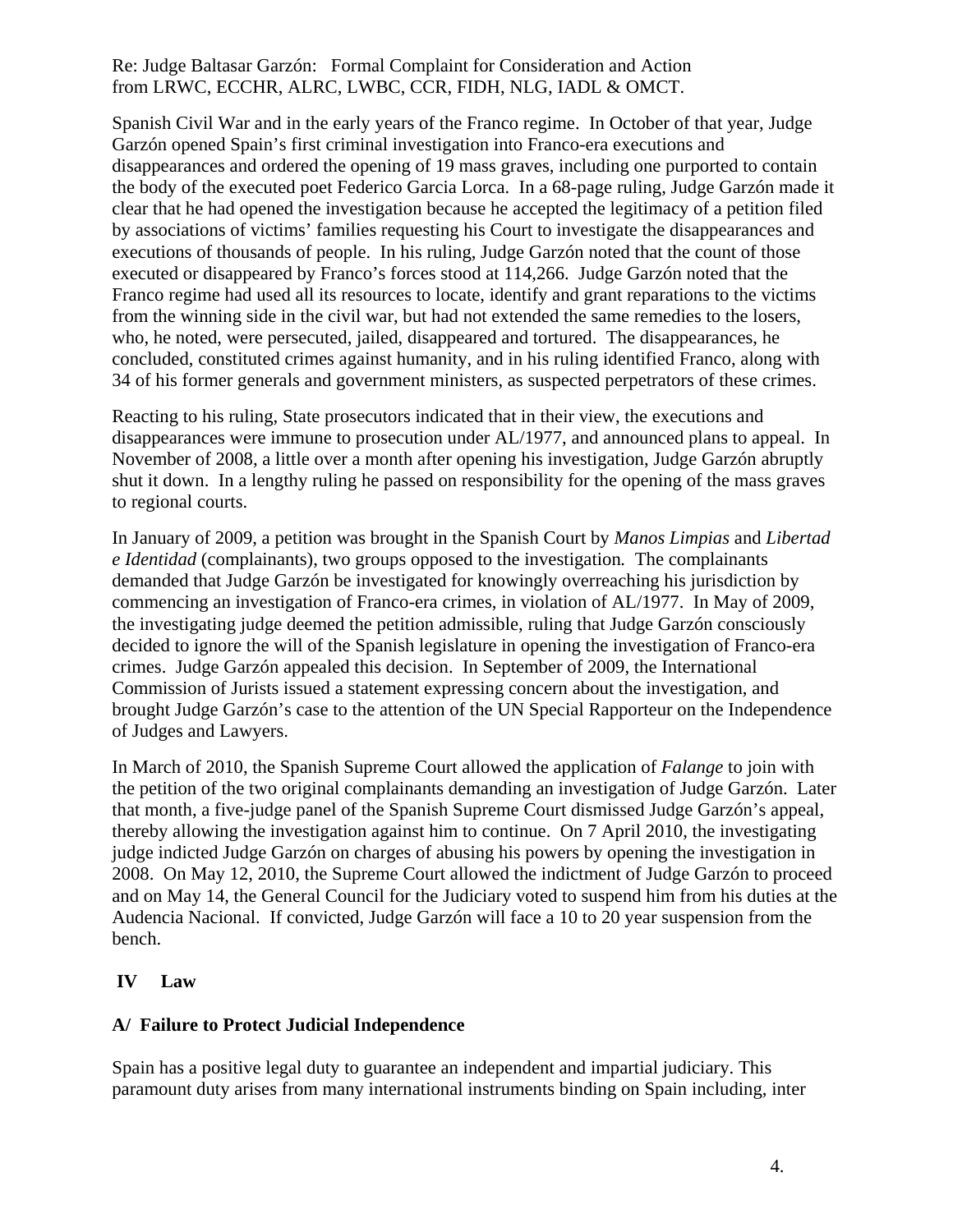Spanish Civil War and in the early years of the Franco regime. In October of that year, Judge Garzón opened Spain's first criminal investigation into Franco-era executions and disappearances and ordered the opening of 19 mass graves, including one purported to contain the body of the executed poet Federico Garcia Lorca. In a 68-page ruling, Judge Garzón made it clear that he had opened the investigation because he accepted the legitimacy of a petition filed by associations of victims' families requesting his Court to investigate the disappearances and executions of thousands of people. In his ruling, Judge Garzón noted that the count of those executed or disappeared by Franco's forces stood at 114,266. Judge Garzón noted that the Franco regime had used all its resources to locate, identify and grant reparations to the victims from the winning side in the civil war, but had not extended the same remedies to the losers, who, he noted, were persecuted, jailed, disappeared and tortured. The disappearances, he concluded, constituted crimes against humanity, and in his ruling identified Franco, along with 34 of his former generals and government ministers, as suspected perpetrators of these crimes.

Reacting to his ruling, State prosecutors indicated that in their view, the executions and disappearances were immune to prosecution under AL/1977, and announced plans to appeal. In November of 2008, a little over a month after opening his investigation, Judge Garzón abruptly shut it down. In a lengthy ruling he passed on responsibility for the opening of the mass graves to regional courts.

In January of 2009, a petition was brought in the Spanish Court by *Manos Limpias* and *Libertad e Identidad* (complainants), two groups opposed to the investigation*.* The complainants demanded that Judge Garzón be investigated for knowingly overreaching his jurisdiction by commencing an investigation of Franco-era crimes, in violation of AL/1977. In May of 2009, the investigating judge deemed the petition admissible, ruling that Judge Garzón consciously decided to ignore the will of the Spanish legislature in opening the investigation of Franco-era crimes. Judge Garzón appealed this decision. In September of 2009, the International Commission of Jurists issued a statement expressing concern about the investigation, and brought Judge Garzón's case to the attention of the UN Special Rapporteur on the Independence of Judges and Lawyers.

In March of 2010, the Spanish Supreme Court allowed the application of *Falange* to join with the petition of the two original complainants demanding an investigation of Judge Garzón. Later that month, a five-judge panel of the Spanish Supreme Court dismissed Judge Garzón's appeal, thereby allowing the investigation against him to continue. On 7 April 2010, the investigating judge indicted Judge Garzón on charges of abusing his powers by opening the investigation in 2008. On May 12, 2010, the Supreme Court allowed the indictment of Judge Garzón to proceed and on May 14, the General Council for the Judiciary voted to suspend him from his duties at the Audencia Nacional. If convicted, Judge Garzón will face a 10 to 20 year suspension from the bench.

# **IV Law**

# **A/ Failure to Protect Judicial Independence**

Spain has a positive legal duty to guarantee an independent and impartial judiciary. This paramount duty arises from many international instruments binding on Spain including, inter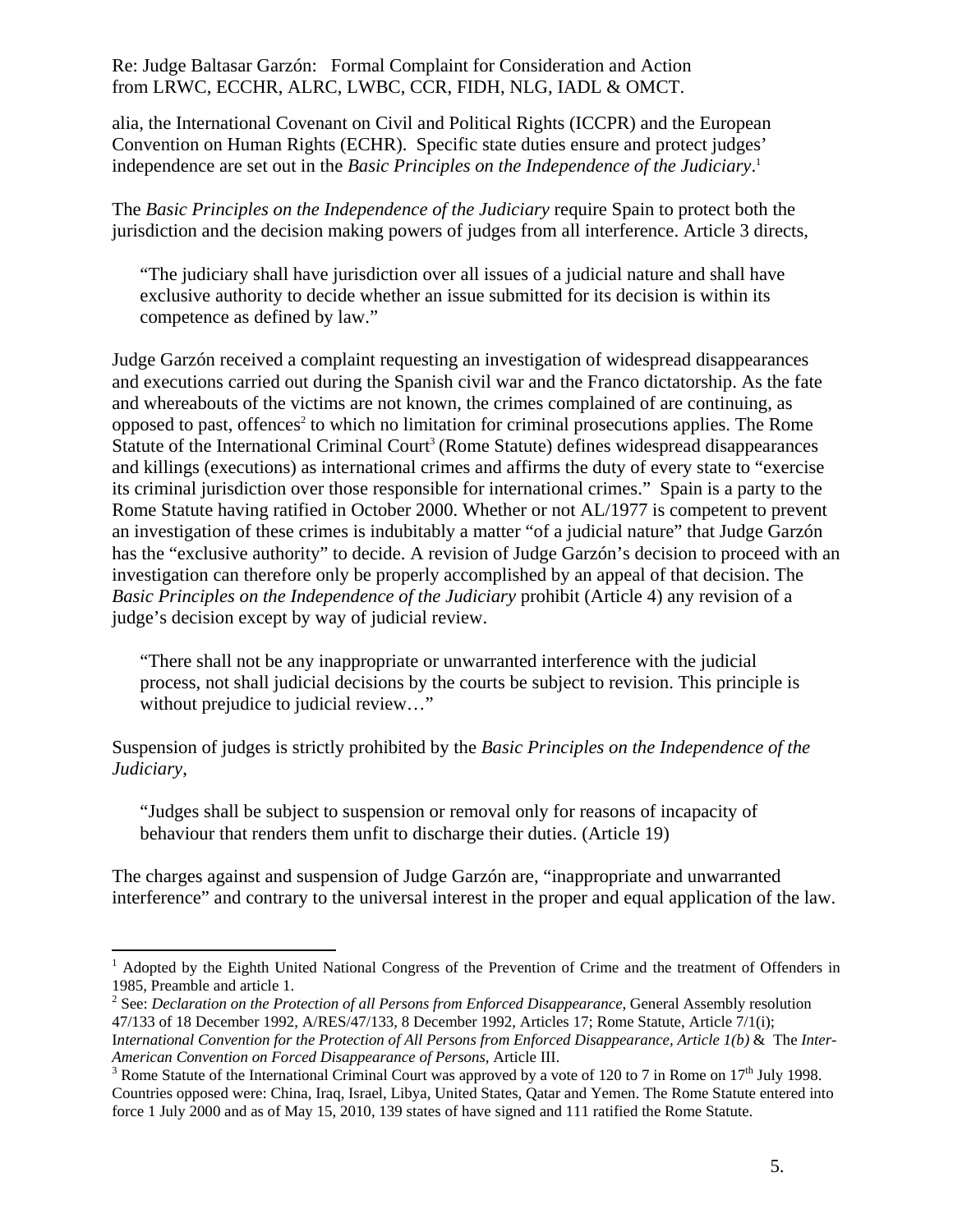alia, the International Covenant on Civil and Political Rights (ICCPR) and the European Convention on Human Rights (ECHR). Specific state duties ensure and protect judges' independence are set out in the *Basic Principles on the Independence of the Judiciary*. 1

The *Basic Principles on the Independence of the Judiciary* require Spain to protect both the jurisdiction and the decision making powers of judges from all interference. Article 3 directs,

"The judiciary shall have jurisdiction over all issues of a judicial nature and shall have exclusive authority to decide whether an issue submitted for its decision is within its competence as defined by law."

Judge Garzón received a complaint requesting an investigation of widespread disappearances and executions carried out during the Spanish civil war and the Franco dictatorship. As the fate and whereabouts of the victims are not known, the crimes complained of are continuing, as opposed to past, offences<sup>2</sup> to which no limitation for criminal prosecutions applies. The Rome Statute of the International Criminal Court<sup>3</sup> (Rome Statute) defines widespread disappearances and killings (executions) as international crimes and affirms the duty of every state to "exercise its criminal jurisdiction over those responsible for international crimes." Spain is a party to the Rome Statute having ratified in October 2000. Whether or not AL/1977 is competent to prevent an investigation of these crimes is indubitably a matter "of a judicial nature" that Judge Garzón has the "exclusive authority" to decide. A revision of Judge Garzón's decision to proceed with an investigation can therefore only be properly accomplished by an appeal of that decision. The *Basic Principles on the Independence of the Judiciary* prohibit (Article 4) any revision of a judge's decision except by way of judicial review.

"There shall not be any inappropriate or unwarranted interference with the judicial process, not shall judicial decisions by the courts be subject to revision. This principle is without prejudice to judicial review..."

Suspension of judges is strictly prohibited by the *Basic Principles on the Independence of the Judiciary*,

"Judges shall be subject to suspension or removal only for reasons of incapacity of behaviour that renders them unfit to discharge their duties. (Article 19)

The charges against and suspension of Judge Garzón are, "inappropriate and unwarranted interference" and contrary to the universal interest in the proper and equal application of the law.

 $\overline{a}$ <sup>1</sup> Adopted by the Eighth United National Congress of the Prevention of Crime and the treatment of Offenders in 1985, Preamble and article 1.

<sup>2</sup> See: *Declaration on the Protection of all Persons from Enforced Disappearance*, General Assembly resolution 47/133 of 18 December 1992, A/RES/47/133, 8 December 1992, Articles 17; Rome Statute, Article 7/1(i); I*nternational Convention for the Protection of All Persons from Enforced Disappearance, Article 1(b)* & The *Inter-American Convention on Forced Disappearance of Persons,* Article III. 3

<sup>&</sup>lt;sup>3</sup> Rome Statute of the International Criminal Court was approved by a vote of 120 to 7 in Rome on 17<sup>th</sup> July 1998. Countries opposed were: China, Iraq, Israel, Libya, United States, Qatar and Yemen. The Rome Statute entered into force 1 July 2000 and as of May 15, 2010, 139 states of have signed and 111 ratified the Rome Statute.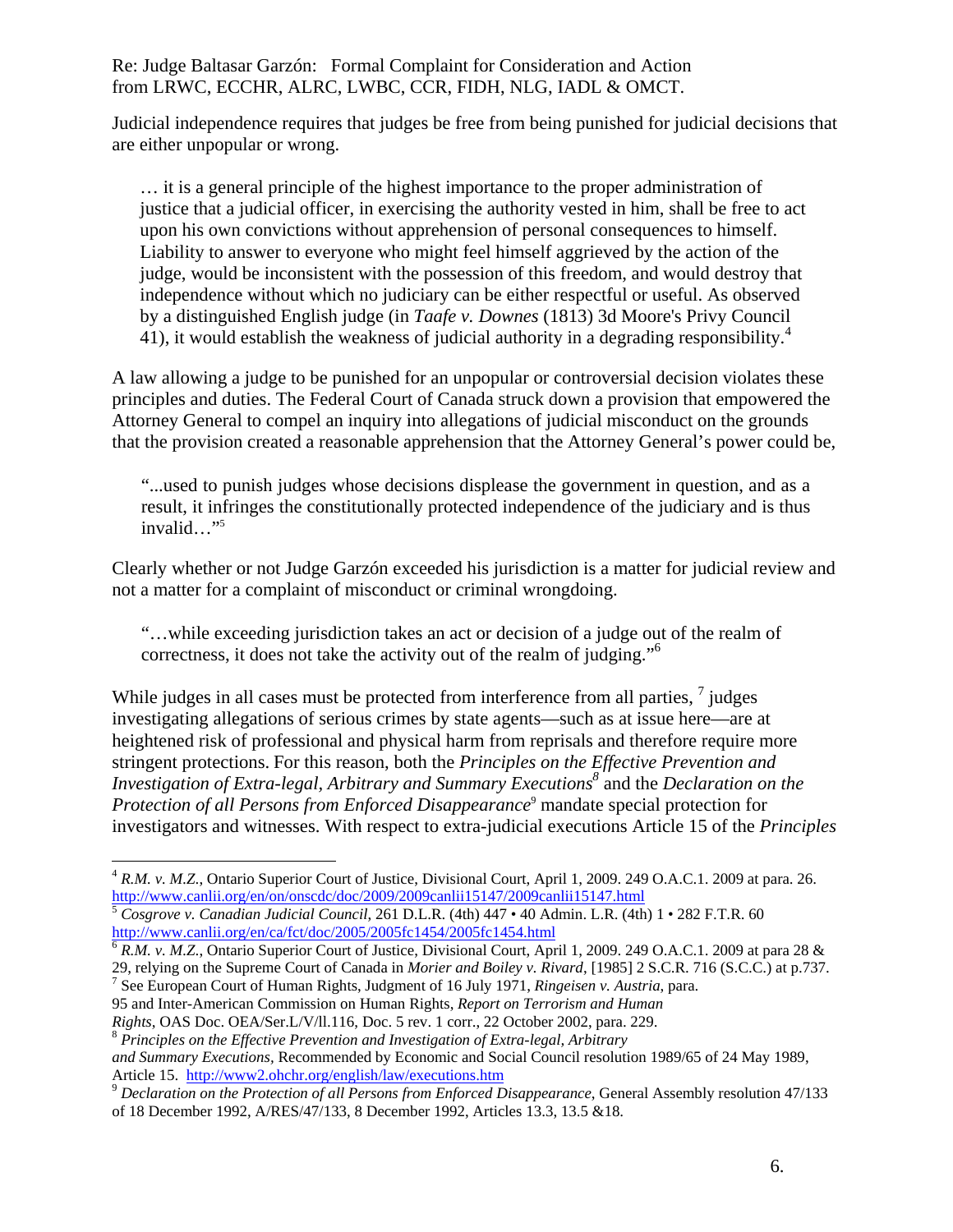Judicial independence requires that judges be free from being punished for judicial decisions that are either unpopular or wrong.

… it is a general principle of the highest importance to the proper administration of justice that a judicial officer, in exercising the authority vested in him, shall be free to act upon his own convictions without apprehension of personal consequences to himself. Liability to answer to everyone who might feel himself aggrieved by the action of the judge, would be inconsistent with the possession of this freedom, and would destroy that independence without which no judiciary can be either respectful or useful. As observed by a distinguished English judge (in *Taafe v. Downes* (1813) 3d Moore's Privy Council 41), it would establish the weakness of judicial authority in a degrading responsibility.<sup>4</sup>

A law allowing a judge to be punished for an unpopular or controversial decision violates these principles and duties. The Federal Court of Canada struck down a provision that empowered the Attorney General to compel an inquiry into allegations of judicial misconduct on the grounds that the provision created a reasonable apprehension that the Attorney General's power could be,

"...used to punish judges whose decisions displease the government in question, and as a result, it infringes the constitutionally protected independence of the judiciary and is thus invalid…"5

Clearly whether or not Judge Garzón exceeded his jurisdiction is a matter for judicial review and not a matter for a complaint of misconduct or criminal wrongdoing.

"…while exceeding jurisdiction takes an act or decision of a judge out of the realm of correctness, it does not take the activity out of the realm of judging."6

While judges in all cases must be protected from interference from all parties,  $7$  judges investigating allegations of serious crimes by state agents—such as at issue here—are at heightened risk of professional and physical harm from reprisals and therefore require more stringent protections. For this reason, both the *Principles on the Effective Prevention and Investigation of Extra-legal, Arbitrary and Summary Executions*<sup>8</sup> and the *Declaration on the* Protection of all Persons from Enforced Disappearance<sup>9</sup> mandate special protection for investigators and witnesses. With respect to extra-judicial executions Article 15 of the *Principles* 

29, relying on the Supreme Court of Canada in *Morier and Boiley v. Rivard*, [1985] 2 S.C.R. 716 (S.C.C.) at p.737. 7 <sup>7</sup> See European Court of Human Rights, Judgment of 16 July 1971, *Ringeisen v. Austria*, para.

95 and Inter-American Commission on Human Rights, *Report on Terrorism and Human* 

1

<sup>&</sup>lt;sup>4</sup> R.M. v. M.Z., Ontario Superior Court of Justice, Divisional Court, April 1, 2009. 249 O.A.C.1. 2009 at para. 26. http://www.canlii.org/en/on/onscdc/doc/2009/2009canlii15147/2009canlii15147.html

<sup>5</sup> *Cosgrove v. Canadian Judicial Council*, 261 D.L.R. (4th) 447 • 40 Admin. L.R. (4th) 1 • 282 F.T.R. 60 http://www.canlii.org/en/ca/fct/doc/2005/2005fc1454/2005fc1454.html<br><sup>6</sup> *R.M. v. M.Z.*, Ontario Superior Court of Justice, Divisional Court, April 1, 2009. 249 O.A.C.1. 2009 at para 28 &

*Rights*, OAS Doc. OEA/Ser.L/V/ll.116, Doc. 5 rev. 1 corr., 22 October 2002, para. 229. <sup>8</sup> *Principles on the Effective Prevention and Investigation of Extra-legal, Arbitrary and Summary Executions, Recommended by Economic and Social Council resolution 1989/65 of 24 May 1989, Article 15. http://www2.ohchr.org/english/law/executions.htm* 

<sup>&</sup>lt;sup>9</sup> Declaration on the Protection of all Persons from Enforced Disappearance, General Assembly resolution 47/133 of 18 December 1992, A/RES/47/133, 8 December 1992, Articles 13.3, 13.5 &18.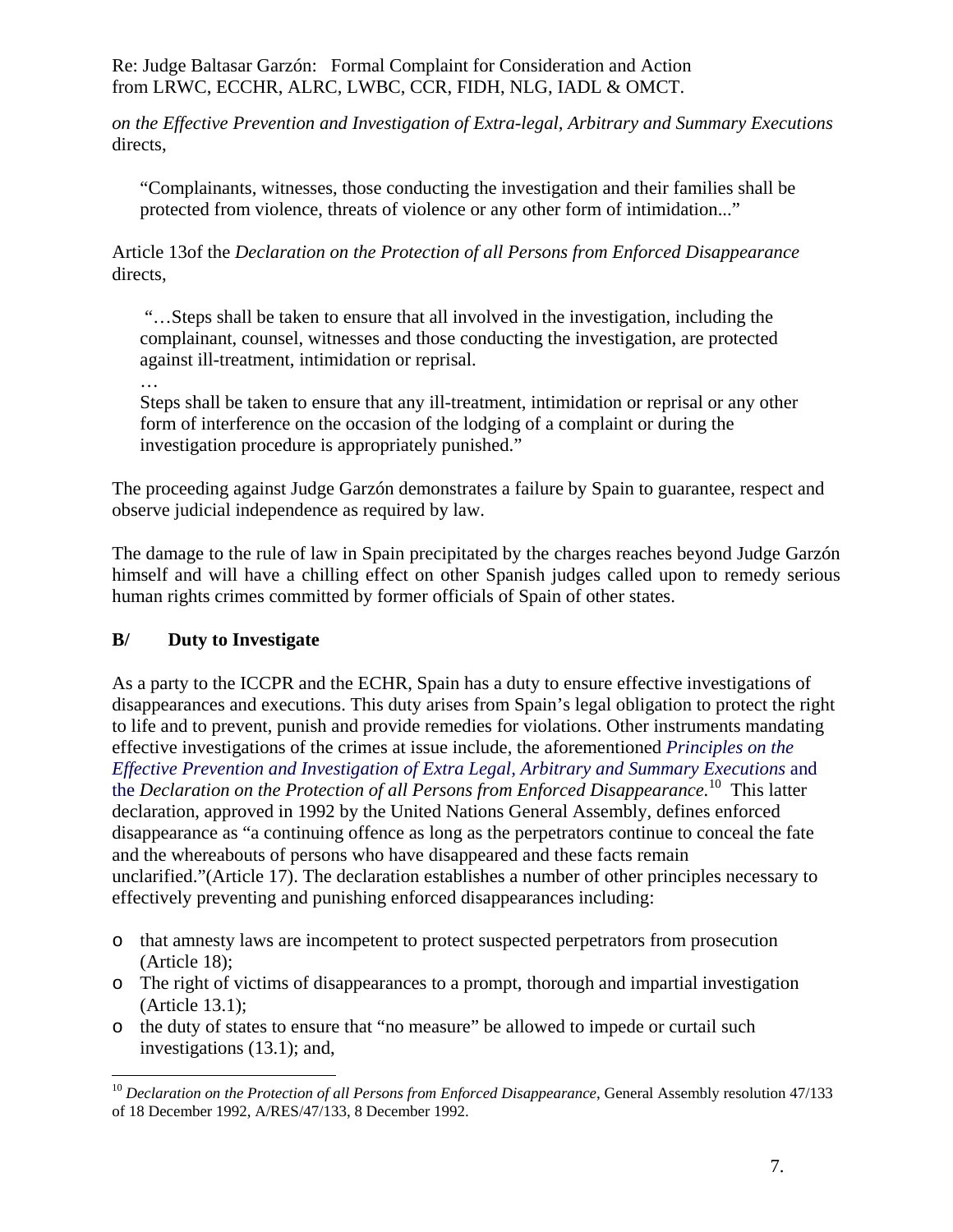*on the Effective Prevention and Investigation of Extra-legal, Arbitrary and Summary Executions* directs,

"Complainants, witnesses, those conducting the investigation and their families shall be protected from violence, threats of violence or any other form of intimidation..."

Article 13of the *Declaration on the Protection of all Persons from Enforced Disappearance* directs,

 "…Steps shall be taken to ensure that all involved in the investigation, including the complainant, counsel, witnesses and those conducting the investigation, are protected against ill-treatment, intimidation or reprisal.

Steps shall be taken to ensure that any ill-treatment, intimidation or reprisal or any other form of interference on the occasion of the lodging of a complaint or during the investigation procedure is appropriately punished."

The proceeding against Judge Garzón demonstrates a failure by Spain to guarantee, respect and observe judicial independence as required by law.

The damage to the rule of law in Spain precipitated by the charges reaches beyond Judge Garzón himself and will have a chilling effect on other Spanish judges called upon to remedy serious human rights crimes committed by former officials of Spain of other states.

# **B/ Duty to Investigate**

…

 $\overline{a}$ 

As a party to the ICCPR and the ECHR, Spain has a duty to ensure effective investigations of disappearances and executions. This duty arises from Spain's legal obligation to protect the right to life and to prevent, punish and provide remedies for violations. Other instruments mandating effective investigations of the crimes at issue include, the aforementioned *Principles on the Effective Prevention and Investigation of Extra Legal, Arbitrary and Summary Executions* and the *Declaration on the Protection of all Persons from Enforced Disappearance.*10 This latter declaration, approved in 1992 by the United Nations General Assembly, defines enforced disappearance as "a continuing offence as long as the perpetrators continue to conceal the fate and the whereabouts of persons who have disappeared and these facts remain unclarified."(Article 17). The declaration establishes a number of other principles necessary to effectively preventing and punishing enforced disappearances including:

- o that amnesty laws are incompetent to protect suspected perpetrators from prosecution (Article 18);
- o The right of victims of disappearances to a prompt, thorough and impartial investigation (Article 13.1);
- o the duty of states to ensure that "no measure" be allowed to impede or curtail such investigations (13.1); and,

<sup>&</sup>lt;sup>10</sup> Declaration on the Protection of all Persons from Enforced Disappearance, General Assembly resolution 47/133 of 18 December 1992, A/RES/47/133, 8 December 1992.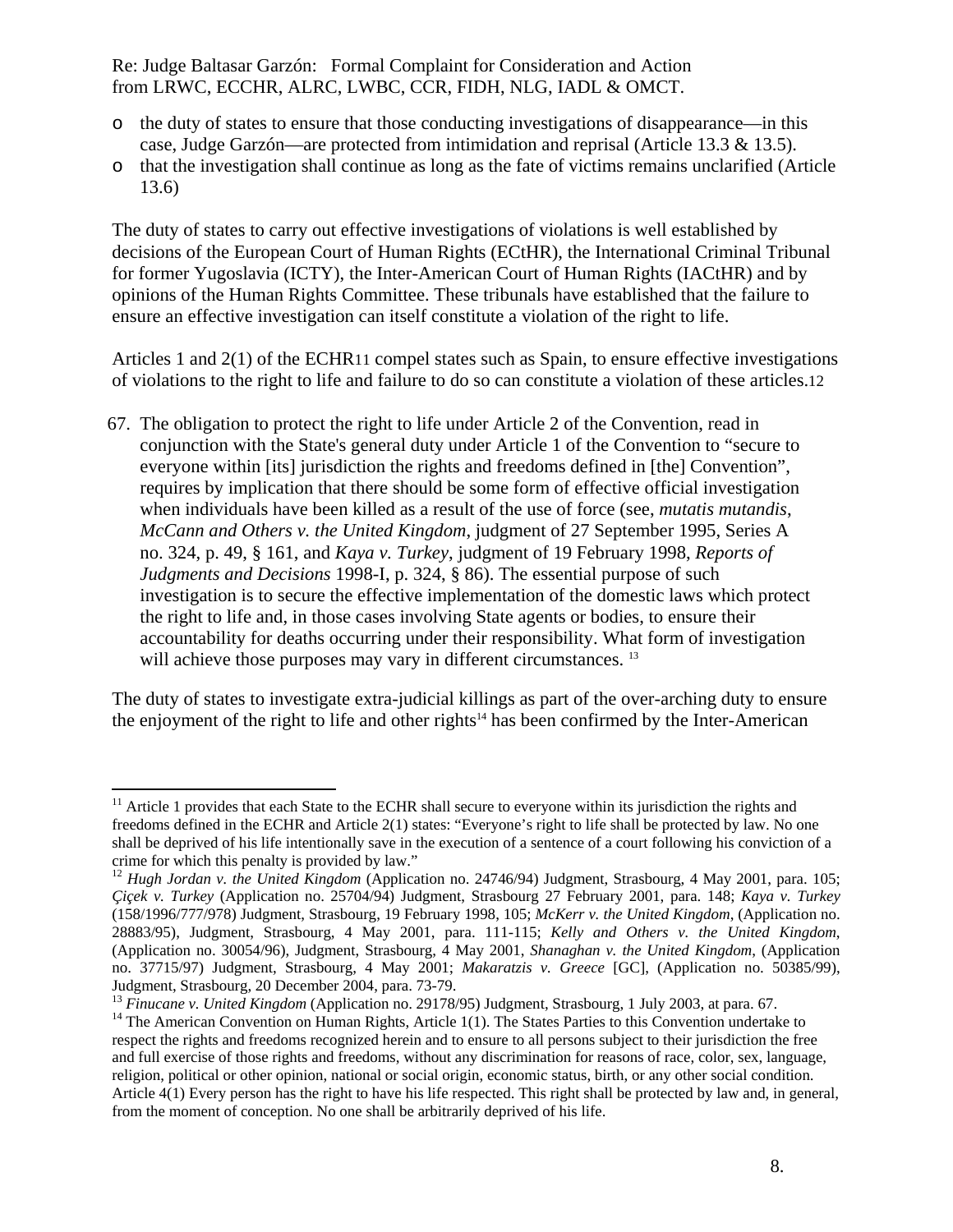- o the duty of states to ensure that those conducting investigations of disappearance—in this case, Judge Garzón—are protected from intimidation and reprisal (Article 13.3 & 13.5).
- o that the investigation shall continue as long as the fate of victims remains unclarified (Article 13.6)

The duty of states to carry out effective investigations of violations is well established by decisions of the European Court of Human Rights (ECtHR), the International Criminal Tribunal for former Yugoslavia (ICTY), the Inter-American Court of Human Rights (IACtHR) and by opinions of the Human Rights Committee. These tribunals have established that the failure to ensure an effective investigation can itself constitute a violation of the right to life.

Articles 1 and 2(1) of the ECHR11 compel states such as Spain, to ensure effective investigations of violations to the right to life and failure to do so can constitute a violation of these articles.12

67. The obligation to protect the right to life under Article 2 of the Convention, read in conjunction with the State's general duty under Article 1 of the Convention to "secure to everyone within [its] jurisdiction the rights and freedoms defined in [the] Convention", requires by implication that there should be some form of effective official investigation when individuals have been killed as a result of the use of force (see, *mutatis mutandis*, *McCann and Others v. the United Kingdom*, judgment of 27 September 1995, Series A no. 324, p. 49, § 161, and *Kaya v. Turkey*, judgment of 19 February 1998, *Reports of Judgments and Decisions* 1998-I, p. 324, § 86). The essential purpose of such investigation is to secure the effective implementation of the domestic laws which protect the right to life and, in those cases involving State agents or bodies, to ensure their accountability for deaths occurring under their responsibility. What form of investigation will achieve those purposes may vary in different circumstances.<sup>13</sup>

The duty of states to investigate extra-judicial killings as part of the over-arching duty to ensure the enjoyment of the right to life and other rights<sup>14</sup> has been confirmed by the Inter-American

 $11$  Article 1 provides that each State to the ECHR shall secure to everyone within its jurisdiction the rights and freedoms defined in the ECHR and Article 2(1) states: "Everyone's right to life shall be protected by law. No one shall be deprived of his life intentionally save in the execution of a sentence of a court following his conviction of a crime for which this penalty is provided by law."

<sup>&</sup>lt;sup>12</sup> Hugh Jordan v. the United Kingdom (Application no. 24746/94) Judgment, Strasbourg, 4 May 2001, para. 105; *Çiçek v. Turkey* (Application no. 25704/94) Judgment, Strasbourg 27 February 2001, para. 148; *Kaya v. Turkey*  (158/1996/777/978) Judgment, Strasbourg, 19 February 1998, 105; *McKerr v. the United Kingdom*, (Application no. 28883/95), Judgment, Strasbourg, 4 May 2001, para. 111-115; *Kelly and Others v. the United Kingdom*, (Application no. 30054/96), Judgment, Strasbourg, 4 May 2001, *Shanaghan v. the United Kingdom*, (Application no. 37715/97) Judgment, Strasbourg, 4 May 2001; *Makaratzis v. Greece* [GC], (Application no. 50385/99), Judgment, Strasbourg, 20 December 2004, para. 73-79.<br><sup>13</sup> Finucane v. United Kingdom (Application no. 29178/95) Judgment, Strasbourg, 1 July 2003, at para. 67.

<sup>&</sup>lt;sup>14</sup> The American Convention on Human Rights, Article 1(1). The States Parties to this Convention undertake to respect the rights and freedoms recognized herein and to ensure to all persons subject to their jurisdiction the free and full exercise of those rights and freedoms, without any discrimination for reasons of race, color, sex, language, religion, political or other opinion, national or social origin, economic status, birth, or any other social condition. Article 4(1) Every person has the right to have his life respected. This right shall be protected by law and, in general, from the moment of conception. No one shall be arbitrarily deprived of his life.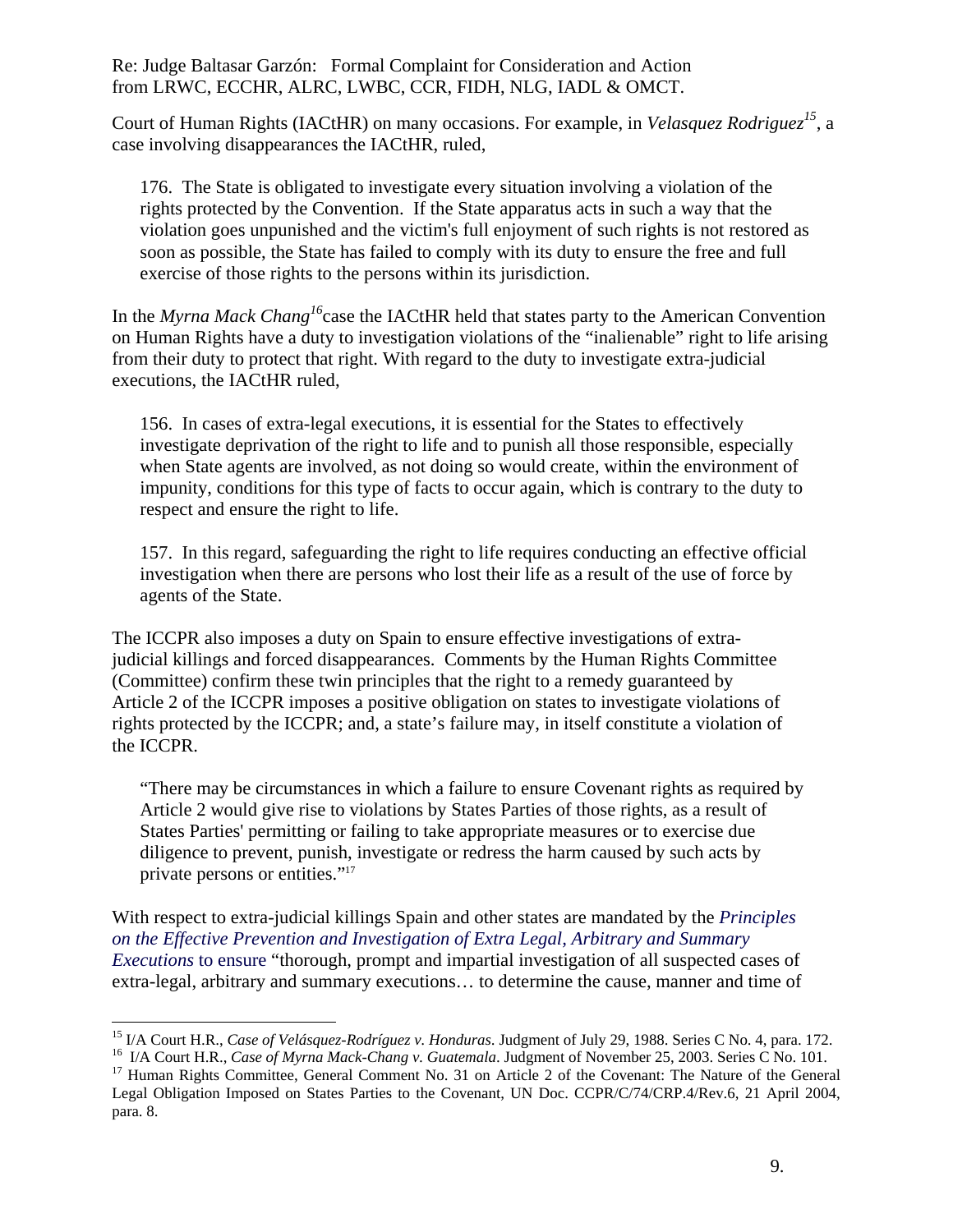Court of Human Rights (IACtHR) on many occasions. For example, in *Velasquez Rodriguez15*, a case involving disappearances the IACtHR, ruled,

176. The State is obligated to investigate every situation involving a violation of the rights protected by the Convention. If the State apparatus acts in such a way that the violation goes unpunished and the victim's full enjoyment of such rights is not restored as soon as possible, the State has failed to comply with its duty to ensure the free and full exercise of those rights to the persons within its jurisdiction.

In the *Myrna Mack Chang16*case the IACtHR held that states party to the American Convention on Human Rights have a duty to investigation violations of the "inalienable" right to life arising from their duty to protect that right. With regard to the duty to investigate extra-judicial executions, the IACtHR ruled,

156. In cases of extra-legal executions, it is essential for the States to effectively investigate deprivation of the right to life and to punish all those responsible, especially when State agents are involved, as not doing so would create, within the environment of impunity, conditions for this type of facts to occur again, which is contrary to the duty to respect and ensure the right to life.

157. In this regard, safeguarding the right to life requires conducting an effective official investigation when there are persons who lost their life as a result of the use of force by agents of the State.

The ICCPR also imposes a duty on Spain to ensure effective investigations of extrajudicial killings and forced disappearances. Comments by the Human Rights Committee (Committee) confirm these twin principles that the right to a remedy guaranteed by Article 2 of the ICCPR imposes a positive obligation on states to investigate violations of rights protected by the ICCPR; and, a state's failure may, in itself constitute a violation of the ICCPR.

"There may be circumstances in which a failure to ensure Covenant rights as required by Article 2 would give rise to violations by States Parties of those rights, as a result of States Parties' permitting or failing to take appropriate measures or to exercise due diligence to prevent, punish, investigate or redress the harm caused by such acts by private persons or entities."17

With respect to extra-judicial killings Spain and other states are mandated by the *Principles on the Effective Prevention and Investigation of Extra Legal, Arbitrary and Summary Executions* to ensure "thorough, prompt and impartial investigation of all suspected cases of extra-legal, arbitrary and summary executions… to determine the cause, manner and time of

<sup>&</sup>lt;sup>15</sup> I/A Court H.R., Case of Velásquez-Rodríguez v. Honduras. Judgment of July 29, 1988. Series C No. 4, para. 172.

<sup>&</sup>lt;sup>16</sup> I/A Court H.R., *Case of Myrna Mack-Chang v. Guatemala.* Judgment of November 25, 2003. Series C No. 101.<br><sup>17</sup> Human Rights Committee, General Comment No. 31 on Article 2 of the Covenant: The Nature of the General

Legal Obligation Imposed on States Parties to the Covenant, UN Doc. CCPR/C/74/CRP.4/Rev.6, 21 April 2004, para. 8.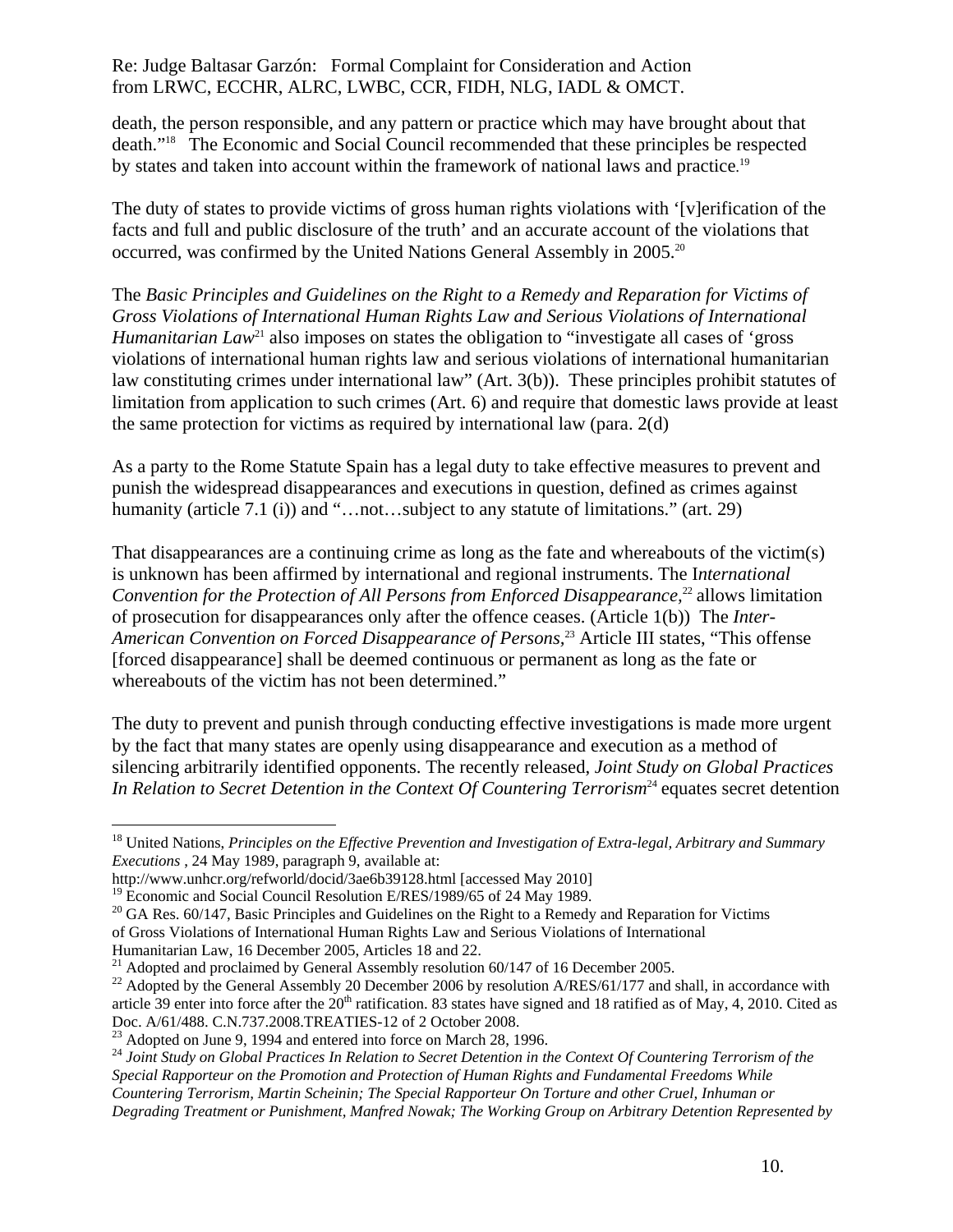death, the person responsible, and any pattern or practice which may have brought about that death."18 The Economic and Social Council recommended that these principles be respected by states and taken into account within the framework of national laws and practice.<sup>19</sup>

The duty of states to provide victims of gross human rights violations with '[v]erification of the facts and full and public disclosure of the truth' and an accurate account of the violations that occurred, was confirmed by the United Nations General Assembly in 2005.20

The *Basic Principles and Guidelines on the Right to a Remedy and Reparation for Victims of Gross Violations of International Human Rights Law and Serious Violations of International Humanitarian Law*<sup>21</sup> also imposes on states the obligation to "investigate all cases of 'gross' violations of international human rights law and serious violations of international humanitarian law constituting crimes under international law" (Art. 3(b)). These principles prohibit statutes of limitation from application to such crimes (Art. 6) and require that domestic laws provide at least the same protection for victims as required by international law (para. 2(d)

As a party to the Rome Statute Spain has a legal duty to take effective measures to prevent and punish the widespread disappearances and executions in question, defined as crimes against humanity (article 7.1 (i)) and "…not…subject to any statute of limitations." (art. 29)

That disappearances are a continuing crime as long as the fate and whereabouts of the victim(s) is unknown has been affirmed by international and regional instruments. The I*nternational Convention for the Protection of All Persons from Enforced Disappearance*,<sup>22</sup> allows limitation of prosecution for disappearances only after the offence ceases. (Article 1(b)) The *Inter-American Convention on Forced Disappearance of Persons,*<sup>23</sup> Article III states, "This offense [forced disappearance] shall be deemed continuous or permanent as long as the fate or whereabouts of the victim has not been determined."

The duty to prevent and punish through conducting effective investigations is made more urgent by the fact that many states are openly using disappearance and execution as a method of silencing arbitrarily identified opponents. The recently released, *Joint Study on Global Practices*  In Relation to Secret Detention in the Context Of Countering Terrorism<sup>24</sup> equates secret detention

of Gross Violations of International Human Rights Law and Serious Violations of International

<sup>18</sup> United Nations, *Principles on the Effective Prevention and Investigation of Extra-legal, Arbitrary and Summary Executions* , 24 May 1989, paragraph 9, available at:

http://www.unhcr.org/refworld/docid/3ae6b39128.html [accessed May 2010]

<sup>&</sup>lt;sup>19</sup> Economic and Social Council Resolution E/RES/1989/65 of 24 May 1989.

 $20$  GA Res. 60/147, Basic Principles and Guidelines on the Right to a Remedy and Reparation for Victims

<sup>&</sup>lt;sup>21</sup> Adopted and proclaimed by General Assembly resolution 60/147 of 16 December 2005.

<sup>&</sup>lt;sup>22</sup> Adopted by the General Assembly 20 December 2006 by resolution A/RES/61/177 and shall, in accordance with article 39 enter into force after the  $20<sup>th</sup>$  ratification. 83 states have signed and 18 ratified as of May, 4, 2010. Cited as Doc. A/61/488. C.N.737.2008.TREATIES-12 of 2 October 2008.

<sup>&</sup>lt;sup>23</sup> Adopted on June 9, 1994 and entered into force on March 28, 1996.

<sup>24</sup> *Joint Study on Global Practices In Relation to Secret Detention in the Context Of Countering Terrorism of the Special Rapporteur on the Promotion and Protection of Human Rights and Fundamental Freedoms While Countering Terrorism, Martin Scheinin; The Special Rapporteur On Torture and other Cruel, Inhuman or Degrading Treatment or Punishment, Manfred Nowak; The Working Group on Arbitrary Detention Represented by*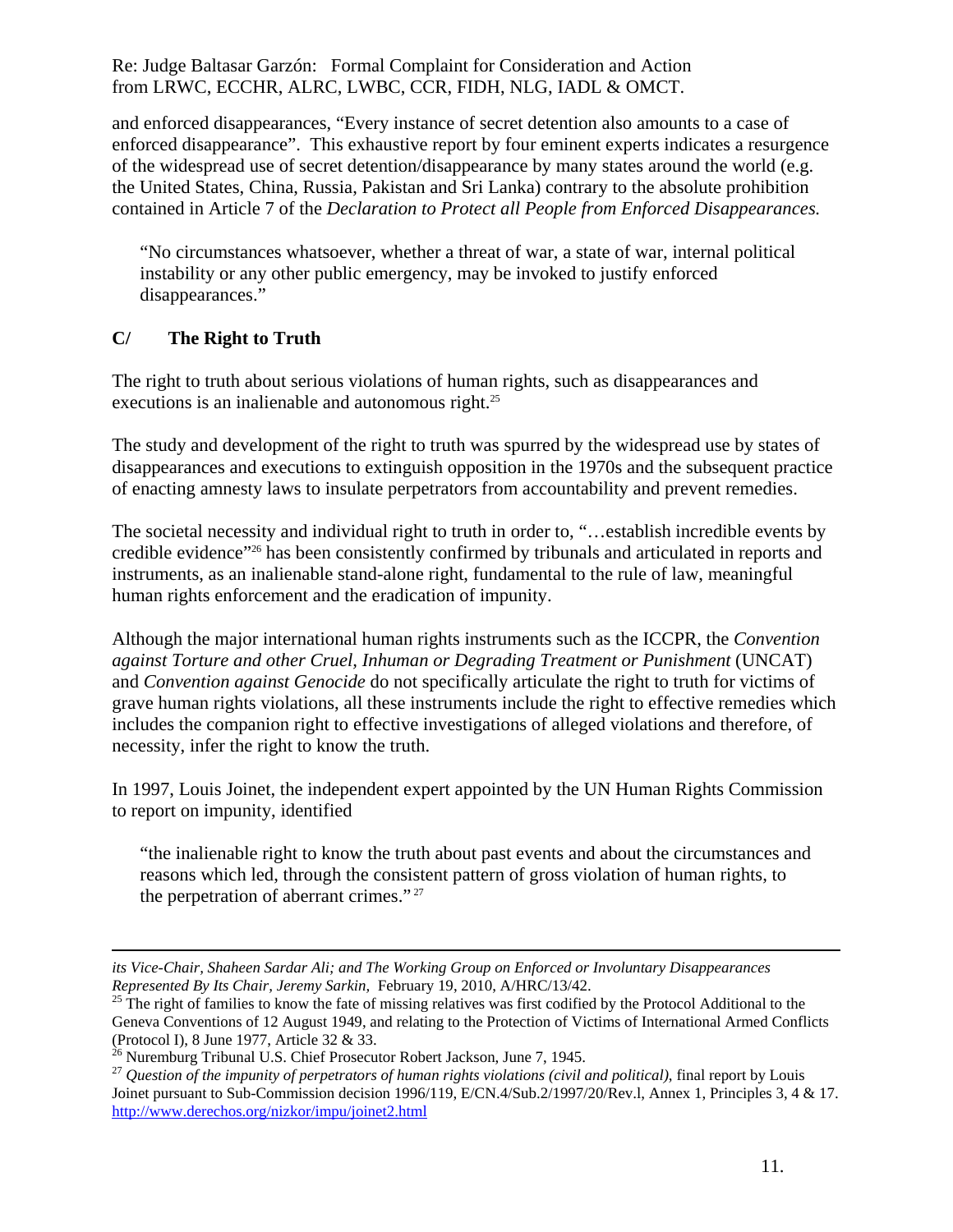and enforced disappearances, "Every instance of secret detention also amounts to a case of enforced disappearance". This exhaustive report by four eminent experts indicates a resurgence of the widespread use of secret detention/disappearance by many states around the world (e.g. the United States, China, Russia, Pakistan and Sri Lanka) contrary to the absolute prohibition contained in Article 7 of the *Declaration to Protect all People from Enforced Disappearances.* 

"No circumstances whatsoever, whether a threat of war, a state of war, internal political instability or any other public emergency, may be invoked to justify enforced disappearances."

# **C/ The Right to Truth**

 $\overline{a}$ 

The right to truth about serious violations of human rights, such as disappearances and executions is an inalienable and autonomous right.<sup>25</sup>

The study and development of the right to truth was spurred by the widespread use by states of disappearances and executions to extinguish opposition in the 1970s and the subsequent practice of enacting amnesty laws to insulate perpetrators from accountability and prevent remedies.

The societal necessity and individual right to truth in order to, "…establish incredible events by credible evidence"26 has been consistently confirmed by tribunals and articulated in reports and instruments, as an inalienable stand-alone right, fundamental to the rule of law, meaningful human rights enforcement and the eradication of impunity.

Although the major international human rights instruments such as the ICCPR, the *Convention against Torture and other Cruel, Inhuman or Degrading Treatment or Punishment* (UNCAT) and *Convention against Genocide* do not specifically articulate the right to truth for victims of grave human rights violations, all these instruments include the right to effective remedies which includes the companion right to effective investigations of alleged violations and therefore, of necessity, infer the right to know the truth.

In 1997, Louis Joinet, the independent expert appointed by the UN Human Rights Commission to report on impunity, identified

"the inalienable right to know the truth about past events and about the circumstances and reasons which led, through the consistent pattern of gross violation of human rights, to the perpetration of aberrant crimes." 27

*its Vice-Chair, Shaheen Sardar Ali; and The Working Group on Enforced or Involuntary Disappearances Represented By Its Chair, Jeremy Sarkin, February 19, 2010, A/HRC/13/42.*<br><sup>25</sup> The right of families to know the fate of missing relatives was first codified by the Protocol Additional to the

Geneva Conventions of 12 August 1949, and relating to the Protection of Victims of International Armed Conflicts (Protocol I), 8 June 1977, Article 32 & 33.

 $^{26}$  Nuremburg Tribunal U.S. Chief Prosecutor Robert Jackson, June 7, 1945.

<sup>27</sup> *Question of the impunity of perpetrators of human rights violations (civil and political)*, final report by Louis Joinet pursuant to Sub-Commission decision 1996/119, E/CN.4/Sub.2/1997/20/Rev.l, Annex 1, Principles 3, 4 & 17. http://www.derechos.org/nizkor/impu/joinet2.html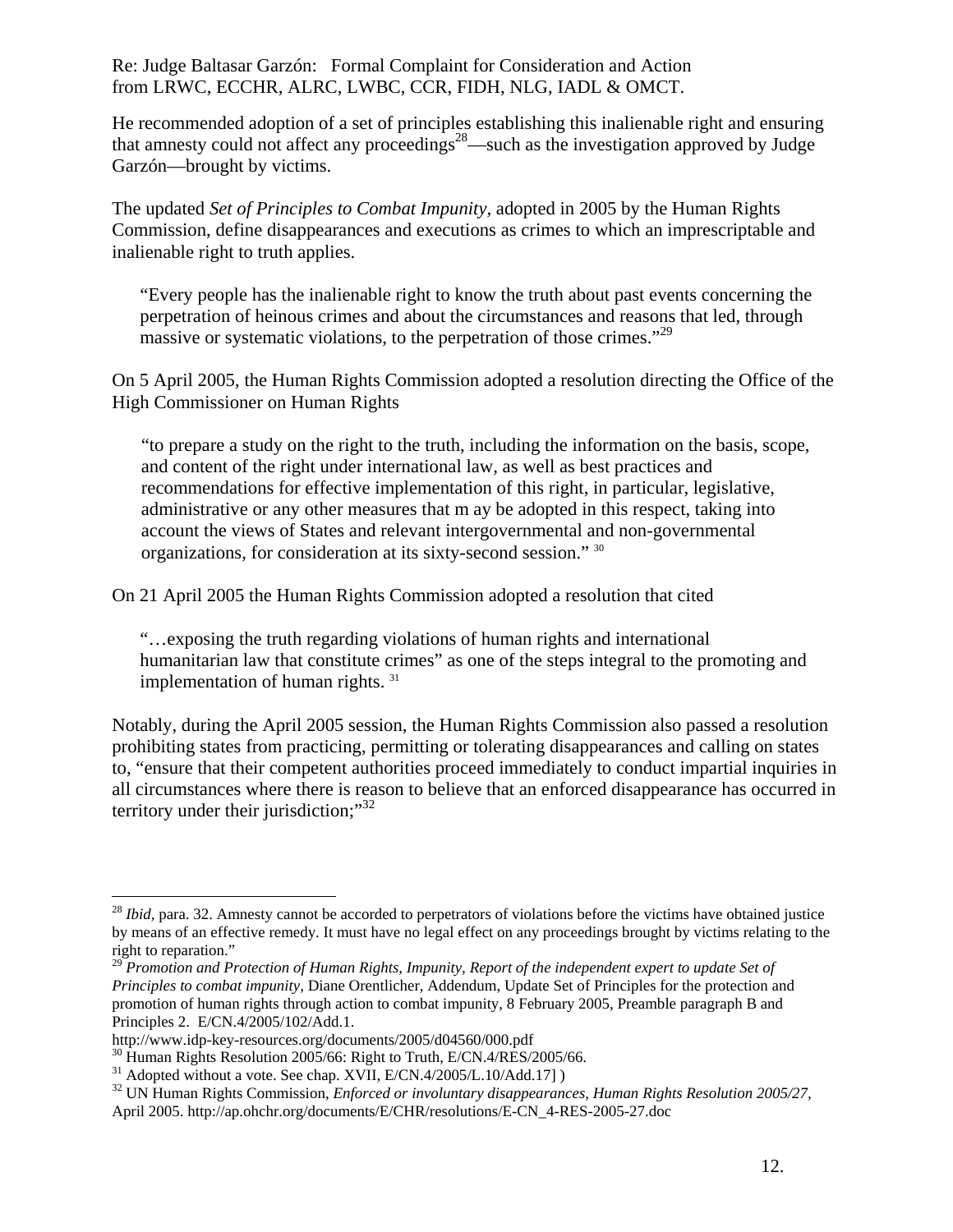He recommended adoption of a set of principles establishing this inalienable right and ensuring that amnesty could not affect any proceedings<sup>28</sup>—such as the investigation approved by Judge Garzón—brought by victims.

The updated *Set of Principles to Combat Impunity,* adopted in 2005 by the Human Rights Commission, define disappearances and executions as crimes to which an imprescriptable and inalienable right to truth applies.

"Every people has the inalienable right to know the truth about past events concerning the perpetration of heinous crimes and about the circumstances and reasons that led, through massive or systematic violations, to the perpetration of those crimes."29

On 5 April 2005, the Human Rights Commission adopted a resolution directing the Office of the High Commissioner on Human Rights

"to prepare a study on the right to the truth, including the information on the basis, scope, and content of the right under international law, as well as best practices and recommendations for effective implementation of this right, in particular, legislative, administrative or any other measures that m ay be adopted in this respect, taking into account the views of States and relevant intergovernmental and non-governmental organizations, for consideration at its sixty-second session." 30

On 21 April 2005 the Human Rights Commission adopted a resolution that cited

"…exposing the truth regarding violations of human rights and international humanitarian law that constitute crimes" as one of the steps integral to the promoting and implementation of human rights. 31

Notably, during the April 2005 session, the Human Rights Commission also passed a resolution prohibiting states from practicing, permitting or tolerating disappearances and calling on states to, "ensure that their competent authorities proceed immediately to conduct impartial inquiries in all circumstances where there is reason to believe that an enforced disappearance has occurred in territory under their jurisdiction;"<sup>32</sup>

<sup>28</sup> *Ibid,* para. 32. Amnesty cannot be accorded to perpetrators of violations before the victims have obtained justice by means of an effective remedy. It must have no legal effect on any proceedings brought by victims relating to the right to reparation."

<sup>29</sup> *Promotion and Protection of Human Rights, Impunity, Report of the independent expert to update Set of Principles to combat impunity,* Diane Orentlicher, Addendum, Update Set of Principles for the protection and promotion of human rights through action to combat impunity, 8 February 2005, Preamble paragraph B and Principles 2. E/CN.4/2005/102/Add.1.

http://www.idp-key-resources.org/documents/2005/d04560/000.pdf<br><sup>30</sup> Human Rights Resolution 2005/66: Right to Truth, E/CN.4/RES/2005/66.<br><sup>31</sup> Adopted without a vote. See chap. XVII, E/CN.4/2005/L.10/Add.17] )

<sup>&</sup>lt;sup>32</sup> UN Human Rights Commission, *Enforced or involuntary disappearances, Human Rights Resolution 2005/27,* April 2005. http://ap.ohchr.org/documents/E/CHR/resolutions/E-CN\_4-RES-2005-27.doc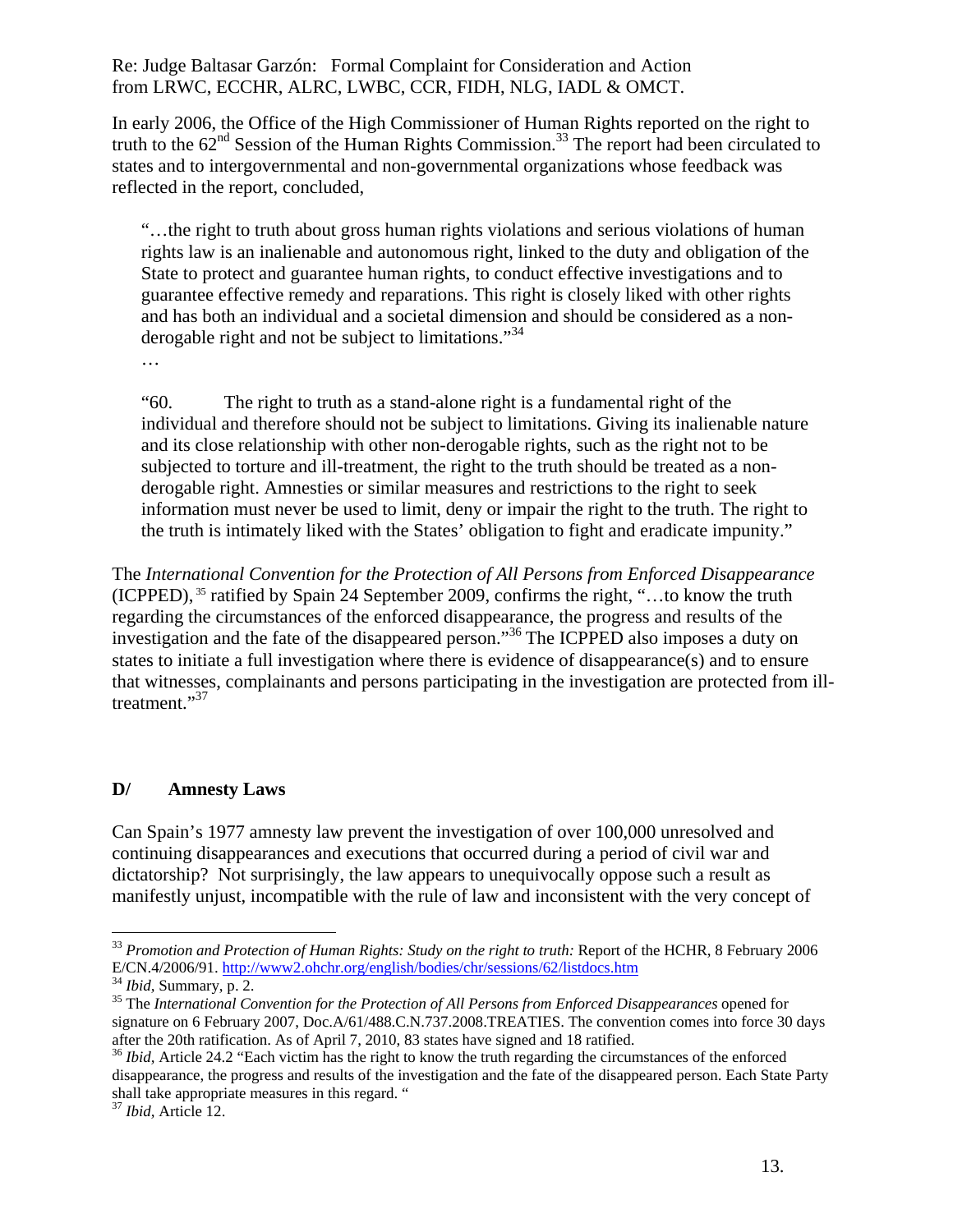In early 2006, the Office of the High Commissioner of Human Rights reported on the right to truth to the  $62<sup>nd</sup>$  Session of the Human Rights Commission.<sup>33</sup> The report had been circulated to states and to intergovernmental and non-governmental organizations whose feedback was reflected in the report, concluded,

"…the right to truth about gross human rights violations and serious violations of human rights law is an inalienable and autonomous right, linked to the duty and obligation of the State to protect and guarantee human rights, to conduct effective investigations and to guarantee effective remedy and reparations. This right is closely liked with other rights and has both an individual and a societal dimension and should be considered as a nonderogable right and not be subject to limitations."<sup>34</sup>

…

"60. The right to truth as a stand-alone right is a fundamental right of the individual and therefore should not be subject to limitations. Giving its inalienable nature and its close relationship with other non-derogable rights, such as the right not to be subjected to torture and ill-treatment, the right to the truth should be treated as a nonderogable right. Amnesties or similar measures and restrictions to the right to seek information must never be used to limit, deny or impair the right to the truth. The right to the truth is intimately liked with the States' obligation to fight and eradicate impunity."

The *International Convention for the Protection of All Persons from Enforced Disappearance*  (ICPPED), 35 ratified by Spain 24 September 2009, confirms the right, "…to know the truth regarding the circumstances of the enforced disappearance, the progress and results of the investigation and the fate of the disappeared person."36 The ICPPED also imposes a duty on states to initiate a full investigation where there is evidence of disappearance(s) and to ensure that witnesses, complainants and persons participating in the investigation are protected from illtreatment."<sup>37</sup>

# **D/ Amnesty Laws**

Can Spain's 1977 amnesty law prevent the investigation of over 100,000 unresolved and continuing disappearances and executions that occurred during a period of civil war and dictatorship? Not surprisingly, the law appears to unequivocally oppose such a result as manifestly unjust, incompatible with the rule of law and inconsistent with the very concept of

<sup>&</sup>lt;sup>33</sup> *Promotion and Protection of Human Rights: Study on the right to truth: Report of the HCHR, 8 February 2006* E/CN.4/2006/91. http://www2.ohchr.org/english/bodies/chr/sessions/62/listdocs.htm

 $^{34}$  Ibid, Summary, p. 2.<br><sup>35</sup> The International Convention for the Protection of All Persons from Enforced Disappearances opened for signature on 6 February 2007, Doc.A/61/488.C.N.737.2008.TREATIES. The convention comes into force 30 days after the 20th ratification. As of April 7, 2010, 83 states have signed and 18 ratified.

<sup>&</sup>lt;sup>36</sup> *Ibid*, Article 24.2 "Each victim has the right to know the truth regarding the circumstances of the enforced disappearance, the progress and results of the investigation and the fate of the disappeared person. Each State Party shall take appropriate measures in this regard. "

<sup>37</sup> *Ibid,* Article 12.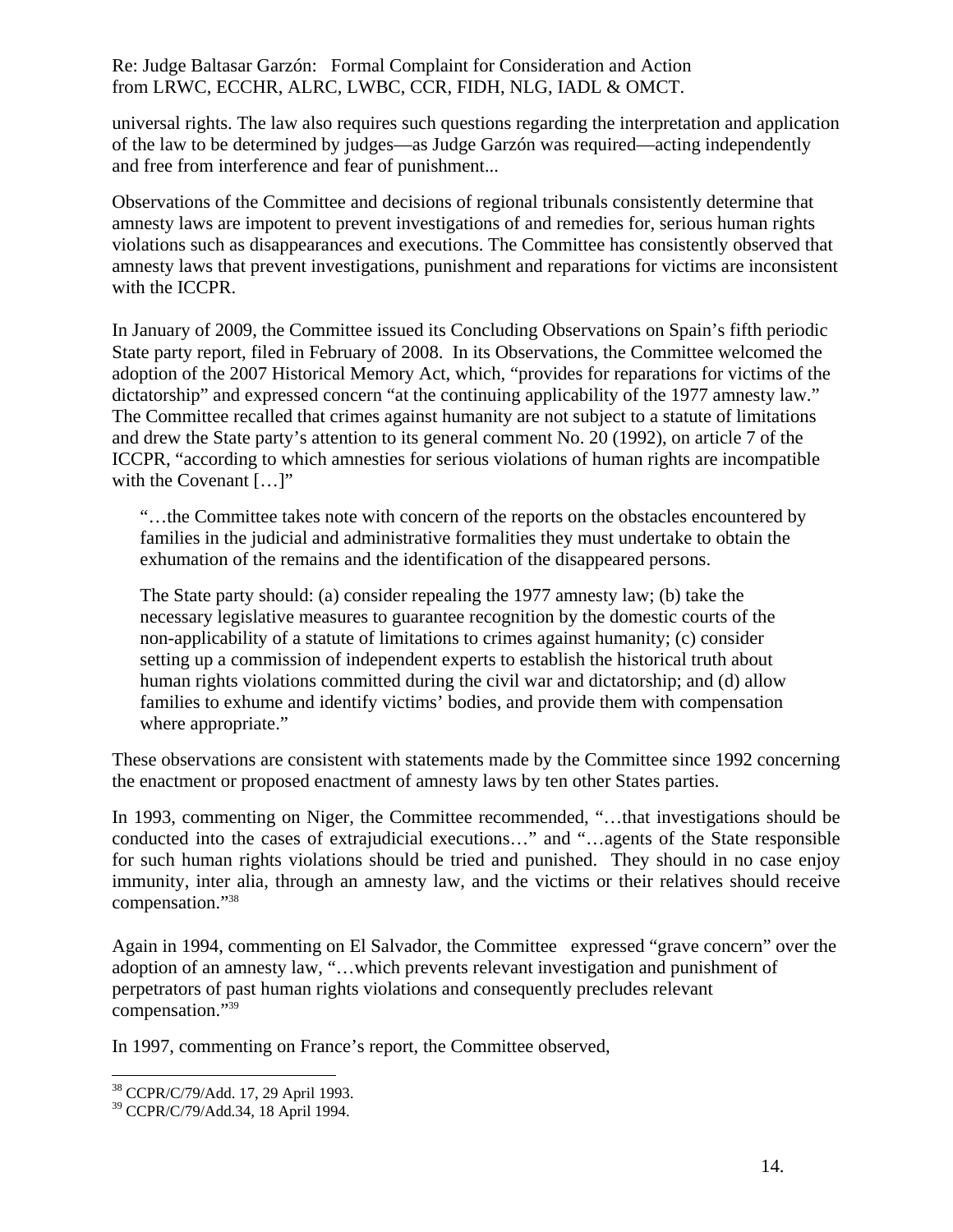universal rights. The law also requires such questions regarding the interpretation and application of the law to be determined by judges—as Judge Garzón was required—acting independently and free from interference and fear of punishment...

Observations of the Committee and decisions of regional tribunals consistently determine that amnesty laws are impotent to prevent investigations of and remedies for, serious human rights violations such as disappearances and executions. The Committee has consistently observed that amnesty laws that prevent investigations, punishment and reparations for victims are inconsistent with the ICCPR.

In January of 2009, the Committee issued its Concluding Observations on Spain's fifth periodic State party report, filed in February of 2008. In its Observations, the Committee welcomed the adoption of the 2007 Historical Memory Act, which, "provides for reparations for victims of the dictatorship" and expressed concern "at the continuing applicability of the 1977 amnesty law." The Committee recalled that crimes against humanity are not subject to a statute of limitations and drew the State party's attention to its general comment No. 20 (1992), on article 7 of the ICCPR, "according to which amnesties for serious violations of human rights are incompatible with the Covenant [...]"

"…the Committee takes note with concern of the reports on the obstacles encountered by families in the judicial and administrative formalities they must undertake to obtain the exhumation of the remains and the identification of the disappeared persons.

The State party should: (a) consider repealing the 1977 amnesty law; (b) take the necessary legislative measures to guarantee recognition by the domestic courts of the non-applicability of a statute of limitations to crimes against humanity; (c) consider setting up a commission of independent experts to establish the historical truth about human rights violations committed during the civil war and dictatorship; and (d) allow families to exhume and identify victims' bodies, and provide them with compensation where appropriate."

These observations are consistent with statements made by the Committee since 1992 concerning the enactment or proposed enactment of amnesty laws by ten other States parties.

In 1993, commenting on Niger, the Committee recommended, "...that investigations should be conducted into the cases of extrajudicial executions…" and "…agents of the State responsible for such human rights violations should be tried and punished. They should in no case enjoy immunity, inter alia, through an amnesty law, and the victims or their relatives should receive compensation."38

Again in 1994, commenting on El Salvador, the Committee expressed "grave concern" over the adoption of an amnesty law, "…which prevents relevant investigation and punishment of perpetrators of past human rights violations and consequently precludes relevant compensation."<sup>39</sup>

In 1997, commenting on France's report, the Committee observed,

<sup>38</sup> CCPR/C/79/Add. 17, 29 April 1993.

<sup>39</sup> CCPR/C/79/Add.34, 18 April 1994.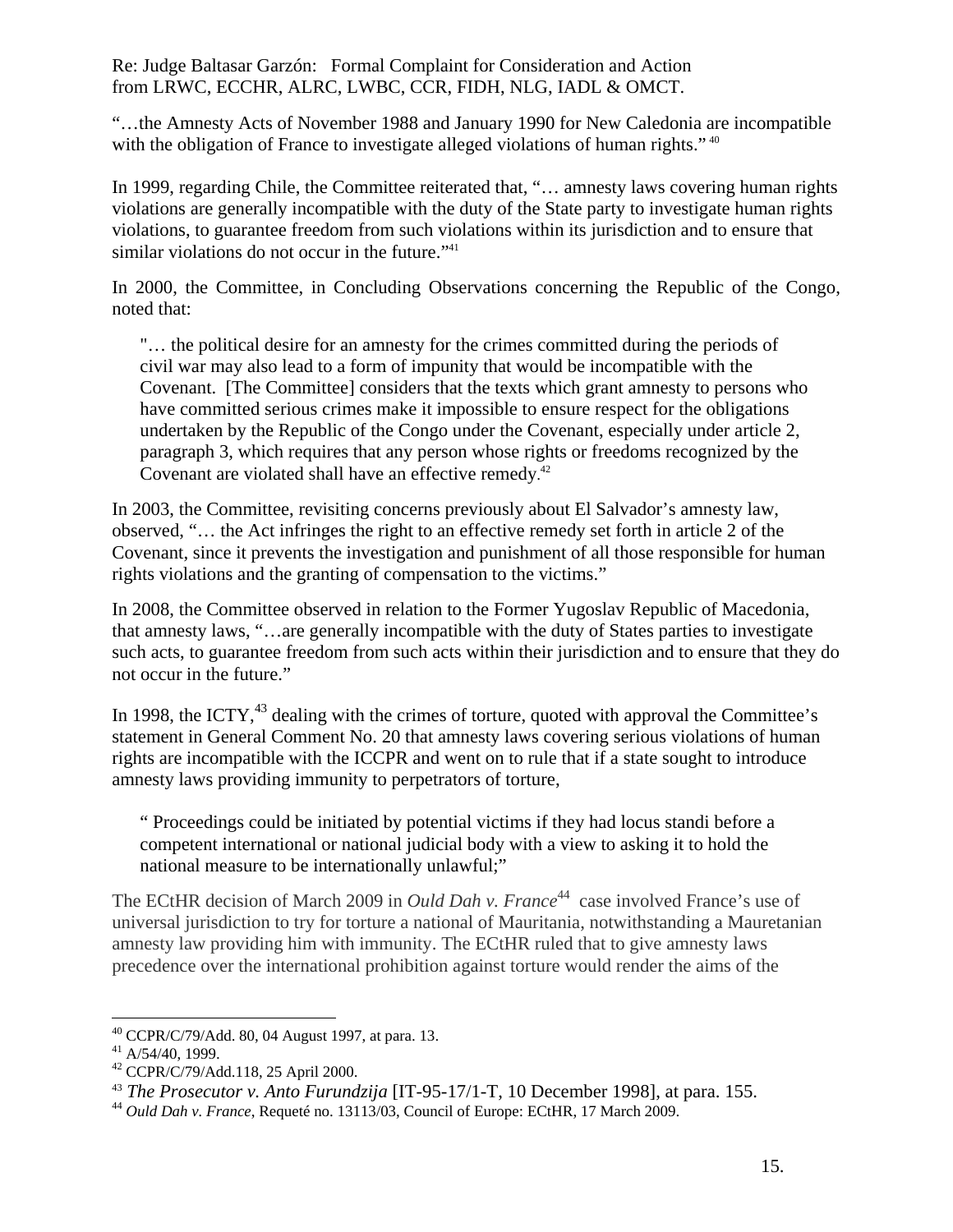"…the Amnesty Acts of November 1988 and January 1990 for New Caledonia are incompatible with the obligation of France to investigate alleged violations of human rights."<sup>40</sup>

In 1999, regarding Chile, the Committee reiterated that, "… amnesty laws covering human rights violations are generally incompatible with the duty of the State party to investigate human rights violations, to guarantee freedom from such violations within its jurisdiction and to ensure that similar violations do not occur in the future."<sup>41</sup>

In 2000, the Committee, in Concluding Observations concerning the Republic of the Congo, noted that:

"… the political desire for an amnesty for the crimes committed during the periods of civil war may also lead to a form of impunity that would be incompatible with the Covenant. [The Committee] considers that the texts which grant amnesty to persons who have committed serious crimes make it impossible to ensure respect for the obligations undertaken by the Republic of the Congo under the Covenant, especially under article 2, paragraph 3, which requires that any person whose rights or freedoms recognized by the Covenant are violated shall have an effective remedy.<sup>42</sup>

In 2003, the Committee, revisiting concerns previously about El Salvador's amnesty law, observed, "… the Act infringes the right to an effective remedy set forth in article 2 of the Covenant, since it prevents the investigation and punishment of all those responsible for human rights violations and the granting of compensation to the victims."

In 2008, the Committee observed in relation to the Former Yugoslav Republic of Macedonia, that amnesty laws, "…are generally incompatible with the duty of States parties to investigate such acts, to guarantee freedom from such acts within their jurisdiction and to ensure that they do not occur in the future."

In 1998, the ICTY, $^{43}$  dealing with the crimes of torture, quoted with approval the Committee's statement in General Comment No. 20 that amnesty laws covering serious violations of human rights are incompatible with the ICCPR and went on to rule that if a state sought to introduce amnesty laws providing immunity to perpetrators of torture,

" Proceedings could be initiated by potential victims if they had locus standi before a competent international or national judicial body with a view to asking it to hold the national measure to be internationally unlawful;"

The ECtHR decision of March 2009 in *Ould Dah v. France*<sup>44</sup> case involved France's use of universal jurisdiction to try for torture a national of Mauritania, notwithstanding a Mauretanian amnesty law providing him with immunity. The ECtHR ruled that to give amnesty laws precedence over the international prohibition against torture would render the aims of the

 $\overline{a}$  $^{40}$  CCPR/C/79/Add. 80, 04 August 1997, at para. 13.

 $41$  A/54/40, 1999.

<sup>42</sup> CCPR/C/79/Add.118, 25 April 2000.

<sup>43</sup> *The Prosecutor v. Anto Furundzija* [IT-95-17/1-T, 10 December 1998], at para. 155. 44 *Ould Dah v. France*, Requeté no. 13113/03, Council of Europe: ECtHR, 17 March 2009.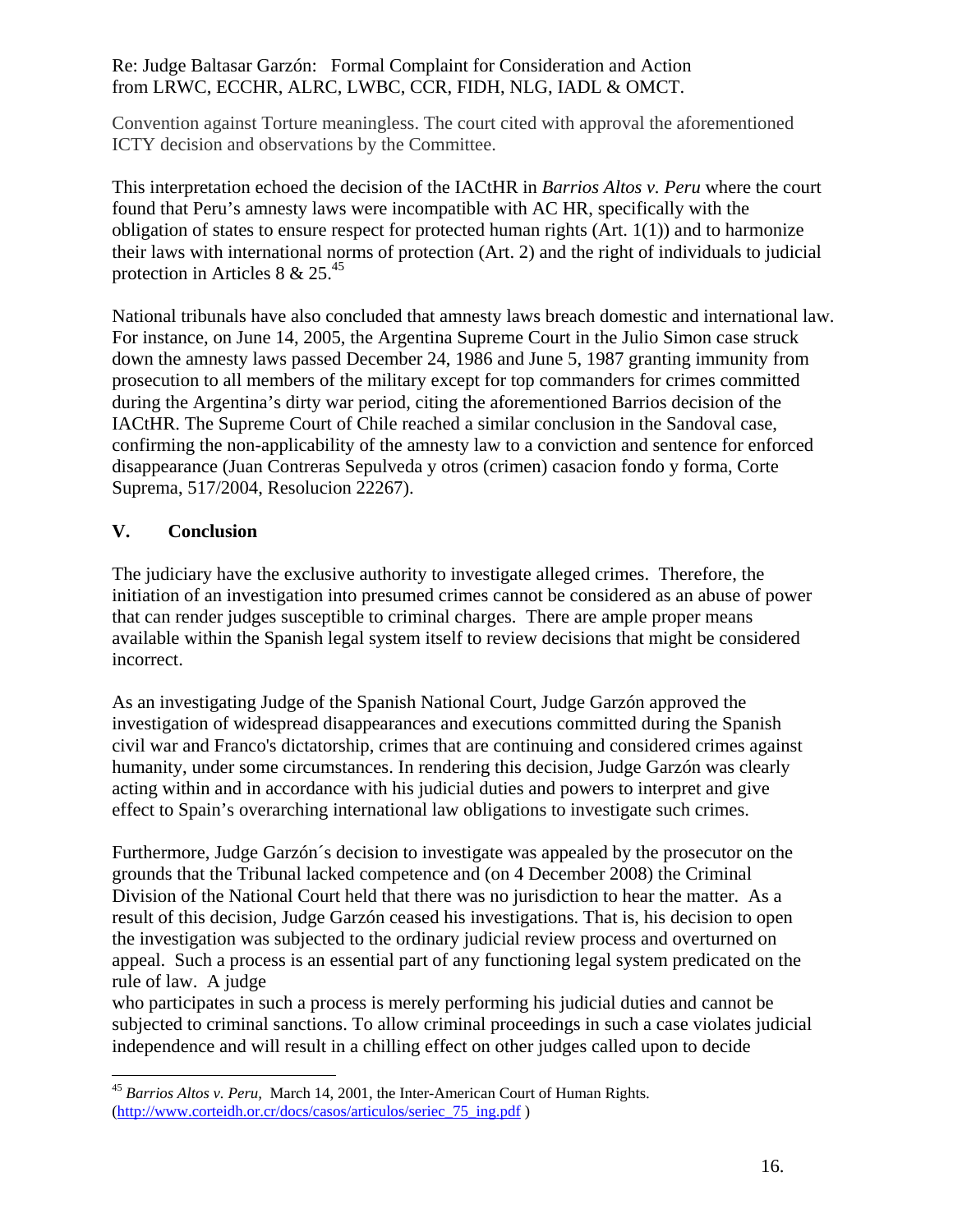Convention against Torture meaningless. The court cited with approval the aforementioned ICTY decision and observations by the Committee.

This interpretation echoed the decision of the IACtHR in *Barrios Altos v. Peru* where the court found that Peru's amnesty laws were incompatible with AC HR, specifically with the obligation of states to ensure respect for protected human rights (Art. 1(1)) and to harmonize their laws with international norms of protection (Art. 2) and the right of individuals to judicial protection in Articles 8 &  $25.<sup>45</sup>$ 

National tribunals have also concluded that amnesty laws breach domestic and international law. For instance, on June 14, 2005, the Argentina Supreme Court in the Julio Simon case struck down the amnesty laws passed December 24, 1986 and June 5, 1987 granting immunity from prosecution to all members of the military except for top commanders for crimes committed during the Argentina's dirty war period, citing the aforementioned Barrios decision of the IACtHR. The Supreme Court of Chile reached a similar conclusion in the Sandoval case, confirming the non-applicability of the amnesty law to a conviction and sentence for enforced disappearance (Juan Contreras Sepulveda y otros (crimen) casacion fondo y forma, Corte Suprema, 517/2004, Resolucion 22267).

# **V. Conclusion**

The judiciary have the exclusive authority to investigate alleged crimes. Therefore, the initiation of an investigation into presumed crimes cannot be considered as an abuse of power that can render judges susceptible to criminal charges. There are ample proper means available within the Spanish legal system itself to review decisions that might be considered incorrect.

As an investigating Judge of the Spanish National Court, Judge Garzón approved the investigation of widespread disappearances and executions committed during the Spanish civil war and Franco's dictatorship, crimes that are continuing and considered crimes against humanity, under some circumstances. In rendering this decision, Judge Garzón was clearly acting within and in accordance with his judicial duties and powers to interpret and give effect to Spain's overarching international law obligations to investigate such crimes.

Furthermore, Judge Garzón´s decision to investigate was appealed by the prosecutor on the grounds that the Tribunal lacked competence and (on 4 December 2008) the Criminal Division of the National Court held that there was no jurisdiction to hear the matter. As a result of this decision, Judge Garzón ceased his investigations. That is, his decision to open the investigation was subjected to the ordinary judicial review process and overturned on appeal. Such a process is an essential part of any functioning legal system predicated on the rule of law. A judge

who participates in such a process is merely performing his judicial duties and cannot be subjected to criminal sanctions. To allow criminal proceedings in such a case violates judicial independence and will result in a chilling effect on other judges called upon to decide

 $\overline{a}$ <sup>45</sup> *Barrios Altos v. Peru,* March 14, 2001, the Inter-American Court of Human Rights. (http://www.corteidh.or.cr/docs/casos/articulos/seriec\_75\_ing.pdf )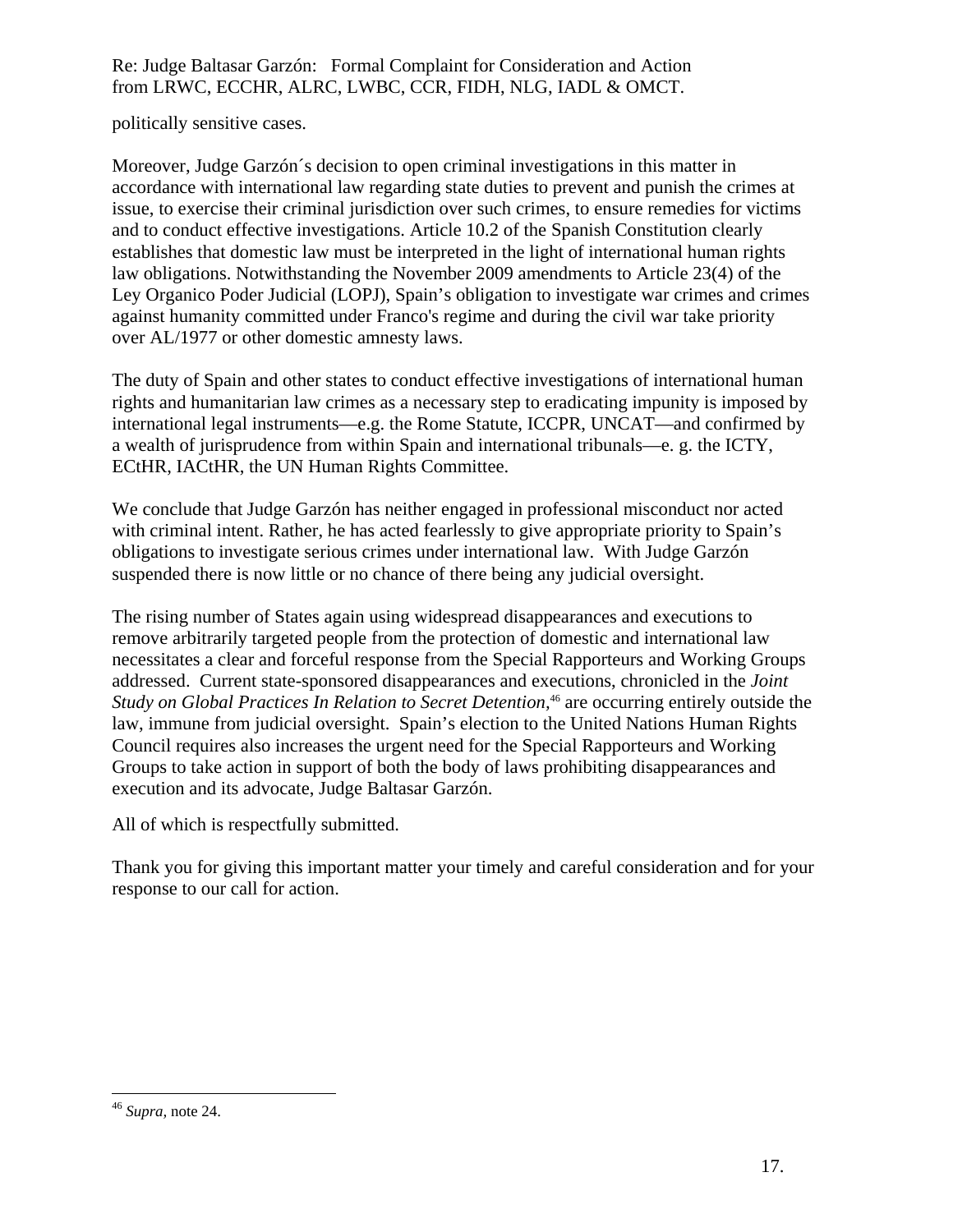politically sensitive cases.

Moreover, Judge Garzón´s decision to open criminal investigations in this matter in accordance with international law regarding state duties to prevent and punish the crimes at issue, to exercise their criminal jurisdiction over such crimes, to ensure remedies for victims and to conduct effective investigations. Article 10.2 of the Spanish Constitution clearly establishes that domestic law must be interpreted in the light of international human rights law obligations. Notwithstanding the November 2009 amendments to Article 23(4) of the Ley Organico Poder Judicial (LOPJ), Spain's obligation to investigate war crimes and crimes against humanity committed under Franco's regime and during the civil war take priority over AL/1977 or other domestic amnesty laws.

The duty of Spain and other states to conduct effective investigations of international human rights and humanitarian law crimes as a necessary step to eradicating impunity is imposed by international legal instruments—e.g. the Rome Statute, ICCPR, UNCAT—and confirmed by a wealth of jurisprudence from within Spain and international tribunals—e. g. the ICTY, ECtHR, IACtHR, the UN Human Rights Committee.

We conclude that Judge Garzón has neither engaged in professional misconduct nor acted with criminal intent. Rather, he has acted fearlessly to give appropriate priority to Spain's obligations to investigate serious crimes under international law. With Judge Garzón suspended there is now little or no chance of there being any judicial oversight.

The rising number of States again using widespread disappearances and executions to remove arbitrarily targeted people from the protection of domestic and international law necessitates a clear and forceful response from the Special Rapporteurs and Working Groups addressed. Current state-sponsored disappearances and executions, chronicled in the *Joint Study on Global Practices In Relation to Secret Detention,*<sup>46</sup> are occurring entirely outside the law, immune from judicial oversight. Spain's election to the United Nations Human Rights Council requires also increases the urgent need for the Special Rapporteurs and Working Groups to take action in support of both the body of laws prohibiting disappearances and execution and its advocate, Judge Baltasar Garzón.

All of which is respectfully submitted.

Thank you for giving this important matter your timely and careful consideration and for your response to our call for action.

<sup>46</sup> *Supra,* note 24.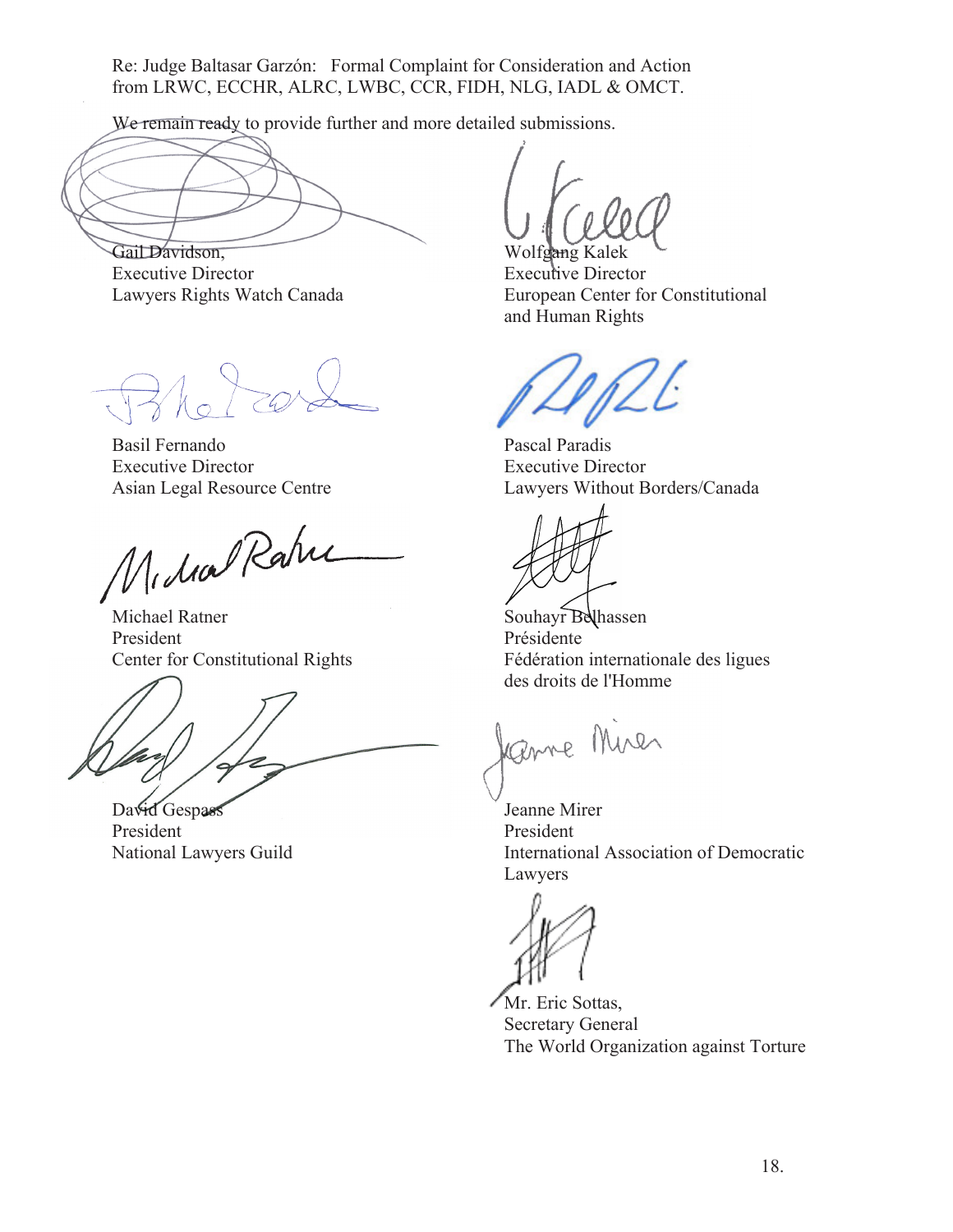We remain ready to provide further and more detailed submissions.

Gail Davidson, Executive Director Lawyers Rights Watch Canada

3 ho I car

Basil Fernando Executive Director Asian Legal Resource Centre

Midral Rahie

Michael Ratner President Center for Constitutional Rights

David Gespass President National Lawyers Guild

Wolfgang Kal

Executive Director European Center for Constitutional and Human Rights

Pascal Paradis Executive Director Lawyers Without Borders/Canada

Souhayr Belhassen Présidente Fédération internationale des ligues des droits de l'Homme

Jame Mires

Jeanne Mirer President International Association of Democratic Lawyers

Mr. Eric Sottas, Secretary General The World Organization against Torture